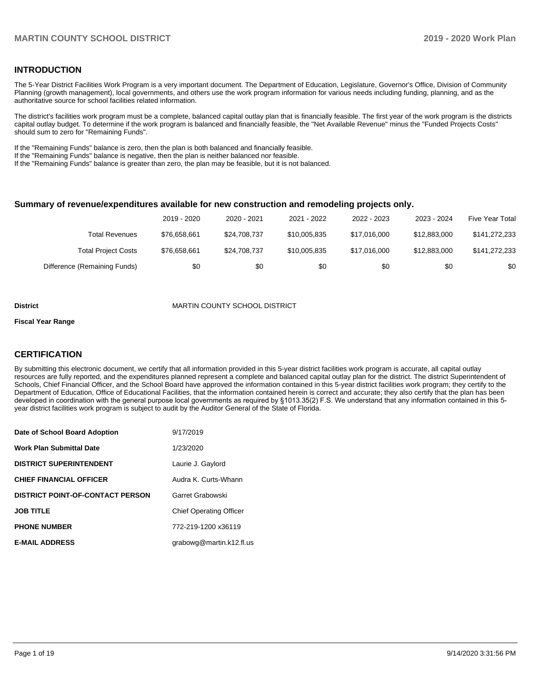#### **INTRODUCTION**

The 5-Year District Facilities Work Program is a very important document. The Department of Education, Legislature, Governor's Office, Division of Community Planning (growth management), local governments, and others use the work program information for various needs including funding, planning, and as the authoritative source for school facilities related information.

The district's facilities work program must be a complete, balanced capital outlay plan that is financially feasible. The first year of the work program is the districts capital outlay budget. To determine if the work program is balanced and financially feasible, the "Net Available Revenue" minus the "Funded Projects Costs" should sum to zero for "Remaining Funds".

If the "Remaining Funds" balance is zero, then the plan is both balanced and financially feasible.

If the "Remaining Funds" balance is negative, then the plan is neither balanced nor feasible.

If the "Remaining Funds" balance is greater than zero, the plan may be feasible, but it is not balanced.

#### **Summary of revenue/expenditures available for new construction and remodeling projects only.**

|                              | 2019 - 2020  | 2020 - 2021  | 2021 - 2022  | 2022 - 2023  | 2023 - 2024  | <b>Five Year Total</b> |
|------------------------------|--------------|--------------|--------------|--------------|--------------|------------------------|
| Total Revenues               | \$76,658,661 | \$24,708,737 | \$10,005,835 | \$17.016.000 | \$12,883,000 | \$141,272,233          |
| <b>Total Project Costs</b>   | \$76,658,661 | \$24,708,737 | \$10,005,835 | \$17.016.000 | \$12,883,000 | \$141,272,233          |
| Difference (Remaining Funds) | \$0          | \$0          | \$0          | \$0          | \$0          | \$0                    |

#### **District** MARTIN COUNTY SCHOOL DISTRICT

#### **Fiscal Year Range**

### **CERTIFICATION**

By submitting this electronic document, we certify that all information provided in this 5-year district facilities work program is accurate, all capital outlay resources are fully reported, and the expenditures planned represent a complete and balanced capital outlay plan for the district. The district Superintendent of Schools, Chief Financial Officer, and the School Board have approved the information contained in this 5-year district facilities work program; they certify to the Department of Education, Office of Educational Facilities, that the information contained herein is correct and accurate; they also certify that the plan has been developed in coordination with the general purpose local governments as required by §1013.35(2) F.S. We understand that any information contained in this 5 year district facilities work program is subject to audit by the Auditor General of the State of Florida.

| Date of School Board Adoption           | 9/17/2019                      |
|-----------------------------------------|--------------------------------|
| Work Plan Submittal Date                | 1/23/2020                      |
| <b>DISTRICT SUPERINTENDENT</b>          | Laurie J. Gaylord              |
| <b>CHIEF FINANCIAL OFFICER</b>          | Audra K. Curts-Whann           |
| <b>DISTRICT POINT-OF-CONTACT PERSON</b> | Garret Grabowski               |
| JOB TITLE                               | <b>Chief Operating Officer</b> |
| <b>PHONE NUMBER</b>                     | 772-219-1200 x36119            |
| <b>E-MAIL ADDRESS</b>                   | grabowg@martin.k12.fl.us       |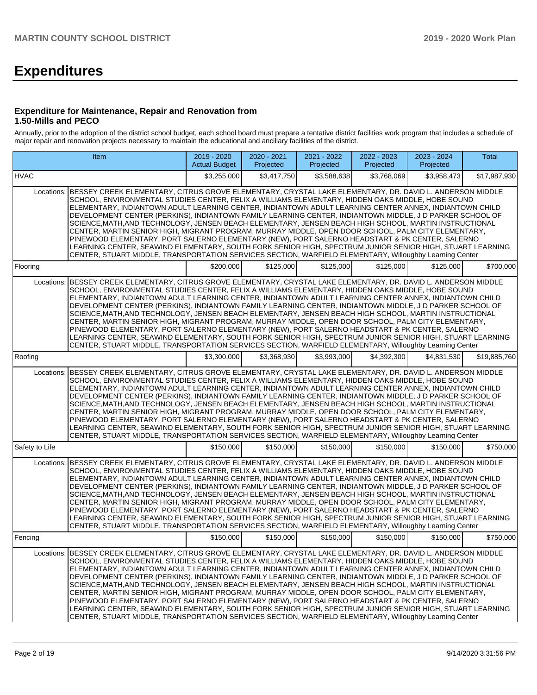# **Expenditures**

#### **Expenditure for Maintenance, Repair and Renovation from 1.50-Mills and PECO**

Annually, prior to the adoption of the district school budget, each school board must prepare a tentative district facilities work program that includes a schedule of major repair and renovation projects necessary to maintain the educational and ancillary facilities of the district.

|                | Item                                                                                                                                                                                                                                                                                                                                                                                                                                                                                                                                                                                                                                                                                                                                                                                                                                                                                                                                                                                      | 2019 - 2020<br><b>Actual Budget</b> | 2020 - 2021<br>Projected | 2021 - 2022<br>Projected | $2022 - 2023$<br>Projected | 2023 - 2024<br>Projected | Total        |
|----------------|-------------------------------------------------------------------------------------------------------------------------------------------------------------------------------------------------------------------------------------------------------------------------------------------------------------------------------------------------------------------------------------------------------------------------------------------------------------------------------------------------------------------------------------------------------------------------------------------------------------------------------------------------------------------------------------------------------------------------------------------------------------------------------------------------------------------------------------------------------------------------------------------------------------------------------------------------------------------------------------------|-------------------------------------|--------------------------|--------------------------|----------------------------|--------------------------|--------------|
| <b>HVAC</b>    |                                                                                                                                                                                                                                                                                                                                                                                                                                                                                                                                                                                                                                                                                                                                                                                                                                                                                                                                                                                           | \$3,255,000                         | \$3,417,750              | \$3.588.638              | \$3,768,069                | \$3,958,473              | \$17,987,930 |
|                | Locations: BESSEY CREEK ELEMENTARY, CITRUS GROVE ELEMENTARY, CRYSTAL LAKE ELEMENTARY, DR. DAVID L. ANDERSON MIDDLE<br>SCHOOL. ENVIRONMENTAL STUDIES CENTER. FELIX A WILLIAMS ELEMENTARY. HIDDEN OAKS MIDDLE. HOBE SOUND<br>ELEMENTARY, INDIANTOWN ADULT LEARNING CENTER, INDIANTOWN ADULT LEARNING CENTER ANNEX, INDIANTOWN CHILD<br>DEVELOPMENT CENTER (PERKINS), INDIANTOWN FAMILY LEARNING CENTER, INDIANTOWN MIDDLE, J D PARKER SCHOOL OF<br>SCIENCE, MATH, AND TECHNOLOGY, JENSEN BEACH ELEMENTARY, JENSEN BEACH HIGH SCHOOL, MARTIN INSTRUCTIONAL<br>CENTER, MARTIN SENIOR HIGH, MIGRANT PROGRAM, MURRAY MIDDLE, OPEN DOOR SCHOOL, PALM CITY ELEMENTARY,<br>PINEWOOD ELEMENTARY, PORT SALERNO ELEMENTARY (NEW), PORT SALERNO HEADSTART & PK CENTER, SALERNO<br>LEARNING CENTER. SEAWIND ELEMENTARY. SOUTH FORK SENIOR HIGH. SPECTRUM JUNIOR SENIOR HIGH. STUART LEARNING<br>CENTER, STUART MIDDLE, TRANSPORTATION SERVICES SECTION, WARFIELD ELEMENTARY, Willoughby Learning Center |                                     |                          |                          |                            |                          |              |
| Flooring       |                                                                                                                                                                                                                                                                                                                                                                                                                                                                                                                                                                                                                                                                                                                                                                                                                                                                                                                                                                                           | \$200,000                           | \$125,000                | \$125,000                | \$125,000                  | \$125,000                | \$700,000    |
| Locations:     | BESSEY CREEK ELEMENTARY, CITRUS GROVE ELEMENTARY, CRYSTAL LAKE ELEMENTARY, DR. DAVID L. ANDERSON MIDDLE<br>SCHOOL, ENVIRONMENTAL STUDIES CENTER, FELIX A WILLIAMS ELEMENTARY, HIDDEN OAKS MIDDLE, HOBE SOUND<br>ELEMENTARY, INDIANTOWN ADULT LEARNING CENTER, INDIANTOWN ADULT LEARNING CENTER ANNEX, INDIANTOWN CHILD<br>DEVELOPMENT CENTER (PERKINS), INDIANTOWN FAMILY LEARNING CENTER, INDIANTOWN MIDDLE, J D PARKER SCHOOL OF<br>SCIENCE, MATH, AND TECHNOLOGY, JENSEN BEACH ELEMENTARY, JENSEN BEACH HIGH SCHOOL, MARTIN INSTRUCTIONAL<br>CENTER, MARTIN SENIOR HIGH, MIGRANT PROGRAM, MURRAY MIDDLE, OPEN DOOR SCHOOL, PALM CITY ELEMENTARY,<br>PINEWOOD ELEMENTARY, PORT SALERNO ELEMENTARY (NEW), PORT SALERNO HEADSTART & PK CENTER, SALERNO<br>LEARNING CENTER, SEAWIND ELEMENTARY, SOUTH FORK SENIOR HIGH, SPECTRUM JUNIOR SENIOR HIGH, STUART LEARNING<br>CENTER, STUART MIDDLE, TRANSPORTATION SERVICES SECTION, WARFIELD ELEMENTARY, Willoughby Learning Center            |                                     |                          |                          |                            |                          |              |
| Roofing        |                                                                                                                                                                                                                                                                                                                                                                                                                                                                                                                                                                                                                                                                                                                                                                                                                                                                                                                                                                                           | \$3,300,000                         | \$3,368,930              | \$3,993,000              | \$4.392.300                | \$4,831,530              | \$19,885,760 |
| Locations:     | BESSEY CREEK ELEMENTARY, CITRUS GROVE ELEMENTARY, CRYSTAL LAKE ELEMENTARY, DR. DAVID L. ANDERSON MIDDLE<br>SCHOOL, ENVIRONMENTAL STUDIES CENTER, FELIX A WILLIAMS ELEMENTARY, HIDDEN OAKS MIDDLE, HOBE SOUND<br>ELEMENTARY, INDIANTOWN ADULT LEARNING CENTER, INDIANTOWN ADULT LEARNING CENTER ANNEX, INDIANTOWN CHILD<br>DEVELOPMENT CENTER (PERKINS), INDIANTOWN FAMILY LEARNING CENTER, INDIANTOWN MIDDLE, J D PARKER SCHOOL OF<br>SCIENCE, MATH, AND TECHNOLOGY, JENSEN BEACH ELEMENTARY, JENSEN BEACH HIGH SCHOOL, MARTIN INSTRUCTIONAL<br>CENTER, MARTIN SENIOR HIGH, MIGRANT PROGRAM, MURRAY MIDDLE, OPEN DOOR SCHOOL, PALM CITY ELEMENTARY,<br>PINEWOOD ELEMENTARY, PORT SALERNO ELEMENTARY (NEW), PORT SALERNO HEADSTART & PK CENTER, SALERNO<br>LEARNING CENTER, SEAWIND ELEMENTARY, SOUTH FORK SENIOR HIGH, SPECTRUM JUNIOR SENIOR HIGH, STUART LEARNING<br>CENTER, STUART MIDDLE, TRANSPORTATION SERVICES SECTION, WARFIELD ELEMENTARY, Willoughby Learning Center            |                                     |                          |                          |                            |                          |              |
| Safety to Life |                                                                                                                                                                                                                                                                                                                                                                                                                                                                                                                                                                                                                                                                                                                                                                                                                                                                                                                                                                                           | \$150,000                           | \$150,000                | \$150,000                | \$150,000                  | \$150,000                | \$750,000    |
| Locations:     | BESSEY CREEK ELEMENTARY, CITRUS GROVE ELEMENTARY, CRYSTAL LAKE ELEMENTARY, DR. DAVID L. ANDERSON MIDDLE<br>SCHOOL, ENVIRONMENTAL STUDIES CENTER, FELIX A WILLIAMS ELEMENTARY, HIDDEN OAKS MIDDLE, HOBE SOUND<br>ELEMENTARY, INDIANTOWN ADULT LEARNING CENTER, INDIANTOWN ADULT LEARNING CENTER ANNEX, INDIANTOWN CHILD<br>DEVELOPMENT CENTER (PERKINS), INDIANTOWN FAMILY LEARNING CENTER, INDIANTOWN MIDDLE, J D PARKER SCHOOL OF<br>SCIENCE, MATH, AND TECHNOLOGY, JENSEN BEACH ELEMENTARY, JENSEN BEACH HIGH SCHOOL, MARTIN INSTRUCTIONAL<br>CENTER, MARTIN SENIOR HIGH, MIGRANT PROGRAM, MURRAY MIDDLE, OPEN DOOR SCHOOL, PALM CITY ELEMENTARY,<br>PINEWOOD ELEMENTARY, PORT SALERNO ELEMENTARY (NEW), PORT SALERNO HEADSTART & PK CENTER, SALERNO<br>LEARNING CENTER, SEAWIND ELEMENTARY, SOUTH FORK SENIOR HIGH, SPECTRUM JUNIOR SENIOR HIGH, STUART LEARNING<br>CENTER, STUART MIDDLE, TRANSPORTATION SERVICES SECTION, WARFIELD ELEMENTARY, Willoughby Learning Center            |                                     |                          |                          |                            |                          |              |
| Fencing        |                                                                                                                                                                                                                                                                                                                                                                                                                                                                                                                                                                                                                                                                                                                                                                                                                                                                                                                                                                                           | \$150,000                           | \$150,000                | \$150,000                | \$150,000                  | \$150,000                | \$750,000    |
|                | Locations: BESSEY CREEK ELEMENTARY, CITRUS GROVE ELEMENTARY, CRYSTAL LAKE ELEMENTARY, DR. DAVID L. ANDERSON MIDDLE<br>SCHOOL, ENVIRONMENTAL STUDIES CENTER, FELIX A WILLIAMS ELEMENTARY, HIDDEN OAKS MIDDLE, HOBE SOUND<br>ELEMENTARY, INDIANTOWN ADULT LEARNING CENTER, INDIANTOWN ADULT LEARNING CENTER ANNEX, INDIANTOWN CHILD<br>DEVELOPMENT CENTER (PERKINS), INDIANTOWN FAMILY LEARNING CENTER, INDIANTOWN MIDDLE, J D PARKER SCHOOL OF<br>SCIENCE, MATH, AND TECHNOLOGY, JENSEN BEACH ELEMENTARY, JENSEN BEACH HIGH SCHOOL, MARTIN INSTRUCTIONAL<br>CENTER, MARTIN SENIOR HIGH, MIGRANT PROGRAM, MURRAY MIDDLE, OPEN DOOR SCHOOL, PALM CITY ELEMENTARY,<br>PINEWOOD ELEMENTARY, PORT SALERNO ELEMENTARY (NEW), PORT SALERNO HEADSTART & PK CENTER, SALERNO<br>LEARNING CENTER, SEAWIND ELEMENTARY, SOUTH FORK SENIOR HIGH, SPECTRUM JUNIOR SENIOR HIGH, STUART LEARNING<br>CENTER, STUART MIDDLE, TRANSPORTATION SERVICES SECTION, WARFIELD ELEMENTARY, Willoughby Learning Center |                                     |                          |                          |                            |                          |              |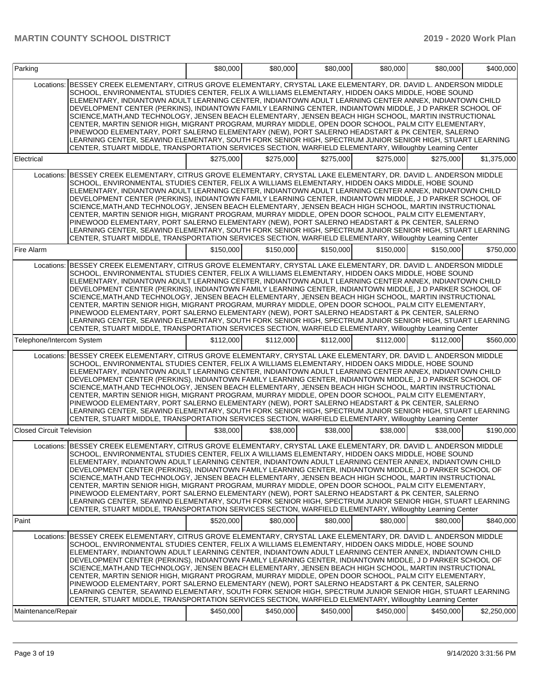|                                  |                                                                                                                                                                                                                                                                                                                                                                                                                                                                                                                                                                                                                                                                                                                                                                                                                                                                                                                                                                                           |           |           |           |           | \$80,000  | \$400,000   |
|----------------------------------|-------------------------------------------------------------------------------------------------------------------------------------------------------------------------------------------------------------------------------------------------------------------------------------------------------------------------------------------------------------------------------------------------------------------------------------------------------------------------------------------------------------------------------------------------------------------------------------------------------------------------------------------------------------------------------------------------------------------------------------------------------------------------------------------------------------------------------------------------------------------------------------------------------------------------------------------------------------------------------------------|-----------|-----------|-----------|-----------|-----------|-------------|
| Locations:                       | BESSEY CREEK ELEMENTARY, CITRUS GROVE ELEMENTARY, CRYSTAL LAKE ELEMENTARY, DR. DAVID L. ANDERSON MIDDLE<br>SCHOOL, ENVIRONMENTAL STUDIES CENTER, FELIX A WILLIAMS ELEMENTARY, HIDDEN OAKS MIDDLE, HOBE SOUND<br>ELEMENTARY. INDIANTOWN ADULT LEARNING CENTER, INDIANTOWN ADULT LEARNING CENTER ANNEX, INDIANTOWN CHILD<br>DEVELOPMENT CENTER (PERKINS). INDIANTOWN FAMILY LEARNING CENTER. INDIANTOWN MIDDLE, J D PARKER SCHOOL OF<br>SCIENCE, MATH, AND TECHNOLOGY, JENSEN BEACH ELEMENTARY, JENSEN BEACH HIGH SCHOOL, MARTIN INSTRUCTIONAL<br>CENTER, MARTIN SENIOR HIGH, MIGRANT PROGRAM, MURRAY MIDDLE, OPEN DOOR SCHOOL, PALM CITY ELEMENTARY,<br>PINEWOOD ELEMENTARY, PORT SALERNO ELEMENTARY (NEW), PORT SALERNO HEADSTART & PK CENTER, SALERNO<br>LEARNING CENTER, SEAWIND ELEMENTARY, SOUTH FORK SENIOR HIGH, SPECTRUM JUNIOR SENIOR HIGH, STUART LEARNING<br>CENTER, STUART MIDDLE, TRANSPORTATION SERVICES SECTION, WARFIELD ELEMENTARY, Willoughby Learning Center            |           |           |           |           |           |             |
| Electrical                       |                                                                                                                                                                                                                                                                                                                                                                                                                                                                                                                                                                                                                                                                                                                                                                                                                                                                                                                                                                                           | \$275,000 | \$275,000 | \$275,000 | \$275,000 | \$275.000 | \$1,375,000 |
| Locations:                       | BESSEY CREEK ELEMENTARY, CITRUS GROVE ELEMENTARY, CRYSTAL LAKE ELEMENTARY, DR. DAVID L. ANDERSON MIDDLE<br>SCHOOL, ENVIRONMENTAL STUDIES CENTER, FELIX A WILLIAMS ELEMENTARY, HIDDEN OAKS MIDDLE, HOBE SOUND<br>ELEMENTARY, INDIANTOWN ADULT LEARNING CENTER, INDIANTOWN ADULT LEARNING CENTER ANNEX, INDIANTOWN CHILD<br>DEVELOPMENT CENTER (PERKINS), INDIANTOWN FAMILY LEARNING CENTER, INDIANTOWN MIDDLE, J D PARKER SCHOOL OF<br>SCIENCE, MATH, AND TECHNOLOGY, JENSEN BEACH ELEMENTARY, JENSEN BEACH HIGH SCHOOL, MARTIN INSTRUCTIONAL<br>CENTER, MARTIN SENIOR HIGH, MIGRANT PROGRAM, MURRAY MIDDLE, OPEN DOOR SCHOOL, PALM CITY ELEMENTARY,<br>PINEWOOD ELEMENTARY, PORT SALERNO ELEMENTARY (NEW), PORT SALERNO HEADSTART & PK CENTER, SALERNO<br>LEARNING CENTER, SEAWIND ELEMENTARY, SOUTH FORK SENIOR HIGH, SPECTRUM JUNIOR SENIOR HIGH, STUART LEARNING<br>CENTER, STUART MIDDLE, TRANSPORTATION SERVICES SECTION, WARFIELD ELEMENTARY, Willoughby Learning Center            |           |           |           |           |           |             |
| Fire Alarm                       |                                                                                                                                                                                                                                                                                                                                                                                                                                                                                                                                                                                                                                                                                                                                                                                                                                                                                                                                                                                           | \$150,000 | \$150,000 | \$150,000 | \$150,000 | \$150,000 | \$750,000   |
| Locations:                       | BESSEY CREEK ELEMENTARY, CITRUS GROVE ELEMENTARY, CRYSTAL LAKE ELEMENTARY, DR. DAVID L. ANDERSON MIDDLE<br>SCHOOL, ENVIRONMENTAL STUDIES CENTER, FELIX A WILLIAMS ELEMENTARY, HIDDEN OAKS MIDDLE, HOBE SOUND<br>ELEMENTARY, INDIANTOWN ADULT LEARNING CENTER, INDIANTOWN ADULT LEARNING CENTER ANNEX, INDIANTOWN CHILD<br>DEVELOPMENT CENTER (PERKINS), INDIANTOWN FAMILY LEARNING CENTER, INDIANTOWN MIDDLE, J D PARKER SCHOOL OF<br>SCIENCE, MATH, AND TECHNOLOGY, JENSEN BEACH ELEMENTARY, JENSEN BEACH HIGH SCHOOL, MARTIN INSTRUCTIONAL<br>CENTER, MARTIN SENIOR HIGH, MIGRANT PROGRAM, MURRAY MIDDLE, OPEN DOOR SCHOOL, PALM CITY ELEMENTARY,<br>PINEWOOD ELEMENTARY, PORT SALERNO ELEMENTARY (NEW), PORT SALERNO HEADSTART & PK CENTER, SALERNO<br>LEARNING CENTER, SEAWIND ELEMENTARY, SOUTH FORK SENIOR HIGH, SPECTRUM JUNIOR SENIOR HIGH, STUART LEARNING<br>CENTER, STUART MIDDLE, TRANSPORTATION SERVICES SECTION, WARFIELD ELEMENTARY, Willoughby Learning Center            |           |           |           |           |           |             |
| Telephone/Intercom System        |                                                                                                                                                                                                                                                                                                                                                                                                                                                                                                                                                                                                                                                                                                                                                                                                                                                                                                                                                                                           | \$112,000 | \$112,000 | \$112,000 | \$112,000 | \$112,000 | \$560,000   |
|                                  | Locations: BESSEY CREEK ELEMENTARY, CITRUS GROVE ELEMENTARY, CRYSTAL LAKE ELEMENTARY, DR. DAVID L. ANDERSON MIDDLE<br>SCHOOL, ENVIRONMENTAL STUDIES CENTER, FELIX A WILLIAMS ELEMENTARY, HIDDEN OAKS MIDDLE, HOBE SOUND<br>ELEMENTARY, INDIANTOWN ADULT LEARNING CENTER, INDIANTOWN ADULT LEARNING CENTER ANNEX, INDIANTOWN CHILD<br>DEVELOPMENT CENTER (PERKINS), INDIANTOWN FAMILY LEARNING CENTER, INDIANTOWN MIDDLE, J D PARKER SCHOOL OF<br>SCIENCE, MATH, AND TECHNOLOGY, JENSEN BEACH ELEMENTARY, JENSEN BEACH HIGH SCHOOL, MARTIN INSTRUCTIONAL<br>CENTER, MARTIN SENIOR HIGH, MIGRANT PROGRAM, MURRAY MIDDLE, OPEN DOOR SCHOOL, PALM CITY ELEMENTARY,<br>PINEWOOD ELEMENTARY, PORT SALERNO ELEMENTARY (NEW), PORT SALERNO HEADSTART & PK CENTER, SALERNO<br>LEARNING CENTER. SEAWIND ELEMENTARY, SOUTH FORK SENIOR HIGH, SPECTRUM JUNIOR SENIOR HIGH, STUART LEARNING<br>CENTER, STUART MIDDLE, TRANSPORTATION SERVICES SECTION, WARFIELD ELEMENTARY, Willoughby Learning Center |           |           |           |           |           |             |
| <b>Closed Circuit Television</b> |                                                                                                                                                                                                                                                                                                                                                                                                                                                                                                                                                                                                                                                                                                                                                                                                                                                                                                                                                                                           | \$38,000  | \$38,000  | \$38,000  | \$38,000  | \$38,000  | \$190.000   |
|                                  | Locations: BESSEY CREEK ELEMENTARY, CITRUS GROVE ELEMENTARY, CRYSTAL LAKE ELEMENTARY, DR. DAVID L. ANDERSON MIDDLE<br>SCHOOL, ENVIRONMENTAL STUDIES CENTER, FELIX A WILLIAMS ELEMENTARY, HIDDEN OAKS MIDDLE, HOBE SOUND<br>ELEMENTARY, INDIANTOWN ADULT LEARNING CENTER, INDIANTOWN ADULT LEARNING CENTER ANNEX, INDIANTOWN CHILD<br>DEVELOPMENT CENTER (PERKINS), INDIANTOWN FAMILY LEARNING CENTER, INDIANTOWN MIDDLE, J D PARKER SCHOOL OF<br>SCIENCE,MATH,AND TECHNOLOGY, JENSEN BEACH ELEMENTARY, JENSEN BEACH HIGH SCHOOL, MARTIN INSTRUCTIONAL<br>CENTER, MARTIN SENIOR HIGH, MIGRANT PROGRAM, MURRAY MIDDLE, OPEN DOOR SCHOOL, PALM CITY ELEMENTARY,<br>PINEWOOD ELEMENTARY, PORT SALERNO ELEMENTARY (NEW), PORT SALERNO HEADSTART & PK CENTER, SALERNO<br>LEARNING CENTER, SEAWIND ELEMENTARY, SOUTH FORK SENIOR HIGH, SPECTRUM JUNIOR SENIOR HIGH, STUART LEARNING<br>CENTER, STUART MIDDLE, TRANSPORTATION SERVICES SECTION, WARFIELD ELEMENTARY, Willoughby Learning Center   |           |           |           |           |           |             |
| Paint                            |                                                                                                                                                                                                                                                                                                                                                                                                                                                                                                                                                                                                                                                                                                                                                                                                                                                                                                                                                                                           | \$520,000 | \$80,000  | \$80,000  | \$80,000  | \$80,000  | \$840,000   |
| Locations:<br>Maintenance/Repair | IBESSEY CREEK ELEMENTARY, CITRUS GROVE ELEMENTARY, CRYSTAL LAKE ELEMENTARY, DR. DAVID L. ANDERSON MIDDLE<br>SCHOOL, ENVIRONMENTAL STUDIES CENTER, FELIX A WILLIAMS ELEMENTARY, HIDDEN OAKS MIDDLE, HOBE SOUND<br>ELEMENTARY, INDIANTOWN ADULT LEARNING CENTER, INDIANTOWN ADULT LEARNING CENTER ANNEX, INDIANTOWN CHILD<br>DEVELOPMENT CENTER (PERKINS), INDIANTOWN FAMILY LEARNING CENTER, INDIANTOWN MIDDLE, J D PARKER SCHOOL OF<br>SCIENCE, MATH, AND TECHNOLOGY, JENSEN BEACH ELEMENTARY, JENSEN BEACH HIGH SCHOOL, MARTIN INSTRUCTIONAL<br>CENTER, MARTIN SENIOR HIGH, MIGRANT PROGRAM, MURRAY MIDDLE, OPEN DOOR SCHOOL, PALM CITY ELEMENTARY,<br>PINEWOOD ELEMENTARY, PORT SALERNO ELEMENTARY (NEW), PORT SALERNO HEADSTART & PK CENTER, SALERNO<br>LEARNING CENTER, SEAWIND ELEMENTARY, SOUTH FORK SENIOR HIGH, SPECTRUM JUNIOR SENIOR HIGH, STUART LEARNING<br>CENTER, STUART MIDDLE, TRANSPORTATION SERVICES SECTION, WARFIELD ELEMENTARY, Willoughby Learning Center           | \$450,000 | \$450,000 | \$450,000 | \$450,000 | \$450,000 | \$2,250,000 |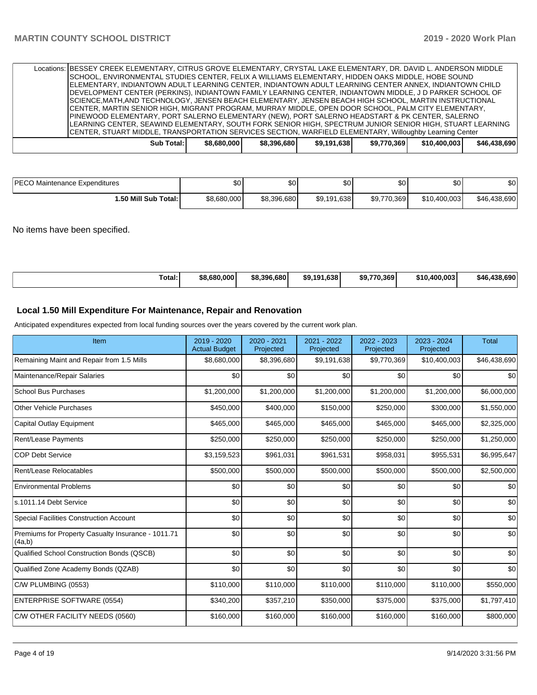|  |            |             | Locations: BESSEY CREEK ELEMENTARY, CITRUS GROVE ELEMENTARY, CRYSTAL LAKE ELEMENTARY, DR. DAVID L. ANDERSON MIDDLE<br>SCHOOL, ENVIRONMENTAL STUDIES CENTER, FELIX A WILLIAMS ELEMENTARY, HIDDEN OAKS MIDDLE, HOBE SOUND<br>ELEMENTARY, INDIANTOWN ADULT LEARNING CENTER, INDIANTOWN ADULT LEARNING CENTER ANNEX, INDIANTOWN CHILD<br>DEVELOPMENT CENTER (PERKINS), INDIANTOWN FAMILY LEARNING CENTER, INDIANTOWN MIDDLE, J D PARKER SCHOOL OF<br>ISCIENCE.MATH.AND TECHNOLOGY. JENSEN BEACH ELEMENTARY. JENSEN BEACH HIGH SCHOOL. MARTIN INSTRUCTIONAL<br>ICENTER, MARTIN SENIOR HIGH, MIGRANT PROGRAM, MURRAY MIDDLE, OPEN DOOR SCHOOL, PALM CITY ELEMENTARY,<br>PINEWOOD ELEMENTARY, PORT SALERNO ELEMENTARY (NEW), PORT SALERNO HEADSTART & PK CENTER, SALERNO |             |             |              |              |
|--|------------|-------------|-------------------------------------------------------------------------------------------------------------------------------------------------------------------------------------------------------------------------------------------------------------------------------------------------------------------------------------------------------------------------------------------------------------------------------------------------------------------------------------------------------------------------------------------------------------------------------------------------------------------------------------------------------------------------------------------------------------------------------------------------------------------|-------------|-------------|--------------|--------------|
|  |            |             | LEARNING CENTER, SEAWIND ELEMENTARY, SOUTH FORK SENIOR HIGH, SPECTRUM JUNIOR SENIOR HIGH, STUART LEARNING<br>CENTER, STUART MIDDLE, TRANSPORTATION SERVICES SECTION, WARFIELD ELEMENTARY, Willoughby Learning Center                                                                                                                                                                                                                                                                                                                                                                                                                                                                                                                                              |             |             |              |              |
|  | Sub Total: | \$8,680,000 | \$8,396,680                                                                                                                                                                                                                                                                                                                                                                                                                                                                                                                                                                                                                                                                                                                                                       | \$9,191,638 | \$9,770,369 | \$10,400,003 | \$46,438,690 |

| <b>IPECO Maintenance Expenditures</b> | ጦጣ<br>υυ    | ሖ<br>JU.    | ሖጣ<br>JU    | \$0         | ሶሳ<br>Ψ∪     | \$0          |
|---------------------------------------|-------------|-------------|-------------|-------------|--------------|--------------|
| 1.50 Mill Sub Total: I                | \$8.680,000 | \$8,396,680 | \$9,191,638 | \$9,770,369 | \$10,400,003 | \$46,438,690 |

No items have been specified.

| Total:<br>ານ<br>. |  | \$8.680.0001 | \$8,396,680 | ا191.638.<br>\$9. | \$9.770.369 | \$10.400.003 | 38.690<br>490<br>\$46 |
|-------------------|--|--------------|-------------|-------------------|-------------|--------------|-----------------------|
|-------------------|--|--------------|-------------|-------------------|-------------|--------------|-----------------------|

# **Local 1.50 Mill Expenditure For Maintenance, Repair and Renovation**

Anticipated expenditures expected from local funding sources over the years covered by the current work plan.

| Item                                                         | 2019 - 2020<br><b>Actual Budget</b> | 2020 - 2021<br>Projected | 2021 - 2022<br>Projected | 2022 - 2023<br>Projected | 2023 - 2024<br>Projected | <b>Total</b> |
|--------------------------------------------------------------|-------------------------------------|--------------------------|--------------------------|--------------------------|--------------------------|--------------|
| Remaining Maint and Repair from 1.5 Mills                    | \$8,680,000                         | \$8,396,680              | \$9,191,638              | \$9,770,369              | \$10,400,003             | \$46,438,690 |
| Maintenance/Repair Salaries                                  | \$0                                 | \$0                      | \$0                      | \$0                      | \$0                      | \$0          |
| <b>School Bus Purchases</b>                                  | \$1,200,000                         | \$1,200,000              | \$1,200,000              | \$1,200,000              | \$1,200,000              | \$6,000,000  |
| <b>Other Vehicle Purchases</b>                               | \$450,000                           | \$400,000                | \$150,000                | \$250,000                | \$300,000                | \$1,550,000  |
| <b>Capital Outlay Equipment</b>                              | \$465,000                           | \$465,000                | \$465,000                | \$465,000                | \$465,000                | \$2,325,000  |
| <b>Rent/Lease Payments</b>                                   | \$250,000                           | \$250,000                | \$250,000                | \$250,000                | \$250,000                | \$1,250,000  |
| <b>COP Debt Service</b>                                      | \$3,159,523                         | \$961,031                | \$961,531                | \$958,031                | \$955,531                | \$6,995,647  |
| Rent/Lease Relocatables                                      | \$500,000                           | \$500,000                | \$500,000                | \$500,000                | \$500,000                | \$2,500,000  |
| <b>Environmental Problems</b>                                | \$0                                 | \$0                      | \$0                      | \$0                      | \$0                      | \$0          |
| s.1011.14 Debt Service                                       | \$0                                 | \$0                      | \$0                      | \$0                      | \$0                      | \$0          |
| Special Facilities Construction Account                      | \$0                                 | \$0                      | \$0                      | \$0                      | \$0                      | \$0          |
| Premiums for Property Casualty Insurance - 1011.71<br>(4a,b) | \$0                                 | \$0                      | \$0                      | \$0                      | \$0                      | \$0          |
| Qualified School Construction Bonds (QSCB)                   | \$0                                 | \$0                      | \$0                      | \$0                      | \$0                      | \$0          |
| Qualified Zone Academy Bonds (QZAB)                          | \$0                                 | \$0                      | \$0                      | \$0                      | \$0                      | \$0          |
| C/W PLUMBING (0553)                                          | \$110,000                           | \$110,000                | \$110,000                | \$110,000                | \$110,000                | \$550,000    |
| <b>ENTERPRISE SOFTWARE (0554)</b>                            | \$340,200                           | \$357,210                | \$350,000                | \$375,000                | \$375,000                | \$1,797,410  |
| C/W OTHER FACILITY NEEDS (0560)                              | \$160,000                           | \$160,000                | \$160,000                | \$160,000                | \$160,000                | \$800,000    |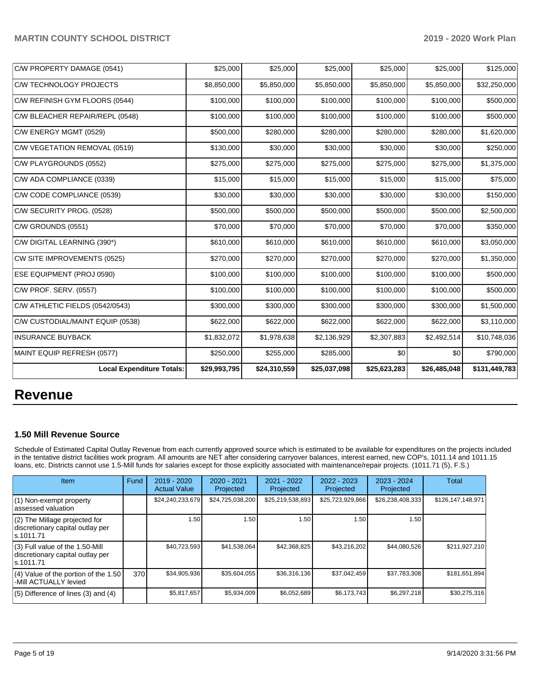| C/W PROPERTY DAMAGE (0541)       | \$25,000     | \$25,000     | \$25,000     | \$25,000     | \$25,000     | \$125,000     |
|----------------------------------|--------------|--------------|--------------|--------------|--------------|---------------|
| C/W TECHNOLOGY PROJECTS          | \$8,850,000  | \$5,850,000  | \$5,850,000  | \$5,850,000  | \$5,850,000  | \$32,250,000  |
| C/W REFINISH GYM FLOORS (0544)   | \$100,000    | \$100,000    | \$100,000    | \$100,000    | \$100,000    | \$500,000     |
| C/W BLEACHER REPAIR/REPL (0548)  | \$100,000    | \$100,000    | \$100,000    | \$100,000    | \$100,000    | \$500,000     |
| C/W ENERGY MGMT (0529)           | \$500,000    | \$280,000    | \$280,000    | \$280,000    | \$280,000    | \$1,620,000   |
| C/W VEGETATION REMOVAL (0519)    | \$130,000    | \$30,000     | \$30,000     | \$30,000     | \$30,000     | \$250,000     |
| C/W PLAYGROUNDS (0552)           | \$275,000    | \$275,000    | \$275,000    | \$275,000    | \$275,000    | \$1,375,000   |
| C/W ADA COMPLIANCE (0339)        | \$15,000     | \$15,000     | \$15,000     | \$15,000     | \$15,000     | \$75,000      |
| C/W CODE COMPLIANCE (0539)       | \$30,000     | \$30,000     | \$30,000     | \$30,000     | \$30,000     | \$150,000     |
| C/W SECURITY PROG. (0528)        | \$500,000    | \$500,000    | \$500,000    | \$500,000    | \$500,000    | \$2,500,000   |
| C/W GROUNDS (0551)               | \$70,000     | \$70,000     | \$70,000     | \$70,000     | \$70,000     | \$350,000     |
| C/W DIGITAL LEARNING (390*)      | \$610,000    | \$610,000    | \$610,000    | \$610,000    | \$610,000    | \$3,050,000   |
| CW SITE IMPROVEMENTS (0525)      | \$270,000    | \$270,000    | \$270,000    | \$270,000    | \$270,000    | \$1,350,000   |
| <b>ESE EQUIPMENT (PROJ 0590)</b> | \$100,000    | \$100,000    | \$100,000    | \$100,000    | \$100,000    | \$500,000     |
| C/W PROF. SERV. (0557)           | \$100,000    | \$100,000    | \$100,000    | \$100,000    | \$100,000    | \$500,000     |
| C/W ATHLETIC FIELDS (0542/0543)  | \$300,000    | \$300,000    | \$300,000    | \$300,000    | \$300,000    | \$1,500,000   |
| C/W CUSTODIAL/MAINT EQUIP (0538) | \$622,000    | \$622,000    | \$622,000    | \$622,000    | \$622,000    | \$3,110,000   |
| <b>INSURANCE BUYBACK</b>         | \$1,832,072  | \$1,978,638  | \$2,136,929  | \$2,307,883  | \$2,492,514  | \$10,748,036  |
| MAINT EQUIP REFRESH (0577)       | \$250,000    | \$255,000    | \$285,000    | \$0          | \$0          | \$790,000     |
| <b>Local Expenditure Totals:</b> | \$29,993,795 | \$24,310,559 | \$25,037,098 | \$25,623,283 | \$26,485,048 | \$131,449,783 |

# **Revenue**

## **1.50 Mill Revenue Source**

Schedule of Estimated Capital Outlay Revenue from each currently approved source which is estimated to be available for expenditures on the projects included in the tentative district facilities work program. All amounts are NET after considering carryover balances, interest earned, new COP's, 1011.14 and 1011.15 loans, etc. Districts cannot use 1.5-Mill funds for salaries except for those explicitly associated with maintenance/repair projects. (1011.71 (5), F.S.)

| <b>Item</b>                                                                         | Fund | $2019 - 2020$<br><b>Actual Value</b> | $2020 - 2021$<br>Projected | 2021 - 2022<br>Projected | $2022 - 2023$<br>Projected | $2023 - 2024$<br>Projected | Total             |
|-------------------------------------------------------------------------------------|------|--------------------------------------|----------------------------|--------------------------|----------------------------|----------------------------|-------------------|
| (1) Non-exempt property<br>lassessed valuation                                      |      | \$24,240,233,679                     | \$24,725,038,200           | \$25,219,538,893         | \$25,723,929,866           | \$26,238,408,333           | \$126,147,148,971 |
| (2) The Millage projected for<br>discretionary capital outlay per<br>ls.1011.71     |      | 1.50                                 | 1.50                       | 1.50                     | 1.50                       | 1.50                       |                   |
| $(3)$ Full value of the 1.50-Mill<br>discretionary capital outlay per<br>ls.1011.71 |      | \$40,723,593                         | \$41,538,064               | \$42,368,825             | \$43,216,202               | \$44,080,526               | \$211,927,210     |
| $(4)$ Value of the portion of the 1.50<br>-Mill ACTUALLY levied                     | 370  | \$34,905,936                         | \$35,604,055               | \$36,316,136             | \$37,042,459               | \$37,783,308               | \$181,651,894     |
| $(5)$ Difference of lines $(3)$ and $(4)$                                           |      | \$5,817,657                          | \$5,934,009                | \$6,052,689              | \$6,173,743                | \$6,297,218                | \$30,275,316      |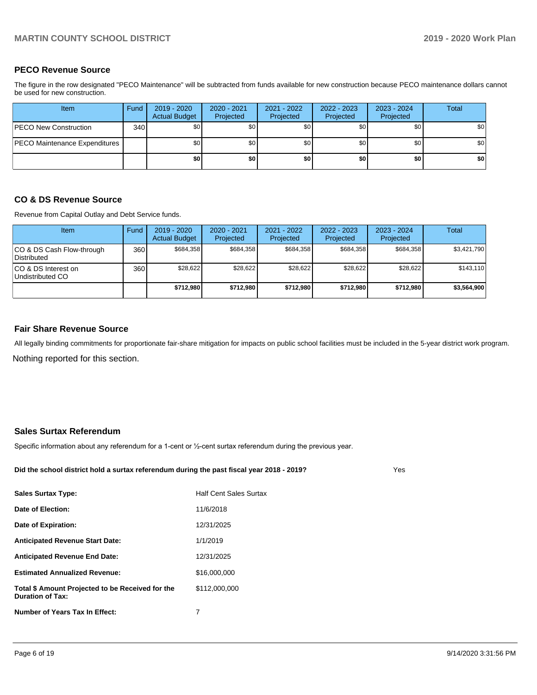### **PECO Revenue Source**

The figure in the row designated "PECO Maintenance" will be subtracted from funds available for new construction because PECO maintenance dollars cannot be used for new construction.

| Item                                 | Fund | 2019 - 2020<br><b>Actual Budget</b> | $2020 - 2021$<br>Projected | 2021 - 2022<br>Projected | 2022 - 2023<br>Projected | 2023 - 2024<br>Projected | Total |
|--------------------------------------|------|-------------------------------------|----------------------------|--------------------------|--------------------------|--------------------------|-------|
| <b>IPECO New Construction</b>        | 340  | \$0 <sub>1</sub>                    | \$0                        | \$0                      | \$0 <sub>1</sub>         | \$0                      | \$0   |
| <b>PECO Maintenance Expenditures</b> |      | \$0 <sub>1</sub>                    | \$0                        | \$0                      | \$0 <sub>1</sub>         | \$0 <sub>1</sub>         | \$0   |
|                                      |      | \$0                                 | \$0                        | \$0                      | \$0                      | \$0                      | \$0   |

### **CO & DS Revenue Source**

Revenue from Capital Outlay and Debt Service funds.

| <b>Item</b>                                     | Fund | $2019 - 2020$<br><b>Actual Budget</b> | $2020 - 2021$<br>Projected | 2021 - 2022<br>Projected | $2022 - 2023$<br>Projected | $2023 - 2024$<br>Projected | Total       |
|-------------------------------------------------|------|---------------------------------------|----------------------------|--------------------------|----------------------------|----------------------------|-------------|
| CO & DS Cash Flow-through<br><b>Distributed</b> | 360  | \$684.358                             | \$684.358                  | \$684.358                | \$684.358                  | \$684,358                  | \$3,421,790 |
| CO & DS Interest on<br>Undistributed CO         | 360  | \$28,622                              | \$28.622                   | \$28.622                 | \$28.622                   | \$28.622                   | \$143,110   |
|                                                 |      | \$712,980                             | \$712,980                  | \$712,980                | \$712,980                  | \$712,980                  | \$3,564,900 |

### **Fair Share Revenue Source**

Nothing reported for this section. All legally binding commitments for proportionate fair-share mitigation for impacts on public school facilities must be included in the 5-year district work program.

### **Sales Surtax Referendum**

Specific information about any referendum for a 1-cent or ½-cent surtax referendum during the previous year.

**Did the school district hold a surtax referendum during the past fiscal year 2018 - 2019?**

Yes

| <b>Sales Surtax Type:</b>                                                   | <b>Half Cent Sales Surtax</b> |
|-----------------------------------------------------------------------------|-------------------------------|
| Date of Election:                                                           | 11/6/2018                     |
| Date of Expiration:                                                         | 12/31/2025                    |
| <b>Anticipated Revenue Start Date:</b>                                      | 1/1/2019                      |
| <b>Anticipated Revenue End Date:</b>                                        | 12/31/2025                    |
| <b>Estimated Annualized Revenue:</b>                                        | \$16,000,000                  |
| Total \$ Amount Projected to be Received for the<br><b>Duration of Tax:</b> | \$112,000,000                 |
| Number of Years Tax In Effect:                                              | 7                             |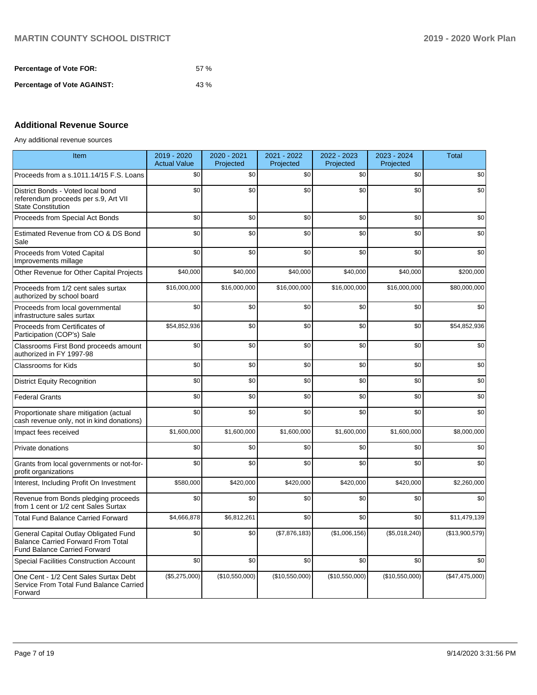| <b>Percentage of Vote FOR:</b>     | 57% |
|------------------------------------|-----|
| <b>Percentage of Vote AGAINST:</b> | 43% |

## **Additional Revenue Source**

Any additional revenue sources

| Item                                                                                                                      | 2019 - 2020<br><b>Actual Value</b> | $2020 - 2021$<br>Projected | 2021 - 2022<br>Projected | 2022 - 2023<br>Projected | 2023 - 2024<br>Projected | Total          |
|---------------------------------------------------------------------------------------------------------------------------|------------------------------------|----------------------------|--------------------------|--------------------------|--------------------------|----------------|
| Proceeds from a s.1011.14/15 F.S. Loans                                                                                   | \$0                                | \$0                        | \$0                      | \$0                      | \$0                      | \$0            |
| District Bonds - Voted local bond<br>referendum proceeds per s.9, Art VII<br><b>State Constitution</b>                    | \$0                                | \$0                        | \$0                      | \$0                      | \$0                      | \$0            |
| Proceeds from Special Act Bonds                                                                                           | \$0                                | \$0                        | \$0                      | \$0                      | \$0                      | \$0            |
| Estimated Revenue from CO & DS Bond<br>Sale                                                                               | \$0                                | \$0                        | \$0                      | \$0                      | \$0                      | \$0            |
| Proceeds from Voted Capital<br>Improvements millage                                                                       | \$0                                | \$0                        | \$0                      | \$0                      | \$0                      | \$0            |
| Other Revenue for Other Capital Projects                                                                                  | \$40,000                           | \$40,000                   | \$40,000                 | \$40,000                 | \$40,000                 | \$200,000      |
| Proceeds from 1/2 cent sales surtax<br>authorized by school board                                                         | \$16,000,000                       | \$16,000,000               | \$16,000,000             | \$16,000,000             | \$16,000,000             | \$80,000,000   |
| Proceeds from local governmental<br>infrastructure sales surtax                                                           | \$0                                | \$0                        | \$0                      | \$0                      | \$0                      | \$0            |
| Proceeds from Certificates of<br>Participation (COP's) Sale                                                               | \$54,852,936                       | \$0                        | \$0                      | \$0                      | \$0                      | \$54,852,936   |
| Classrooms First Bond proceeds amount<br>authorized in FY 1997-98                                                         | \$0                                | \$0                        | \$0                      | \$0                      | \$0                      | \$0            |
| <b>Classrooms for Kids</b>                                                                                                | \$0                                | \$0                        | \$0                      | \$0                      | \$0                      | \$0            |
| <b>District Equity Recognition</b>                                                                                        | \$0                                | \$0                        | \$0                      | \$0                      | \$0                      | \$0            |
| <b>Federal Grants</b>                                                                                                     | \$0                                | \$0                        | \$0                      | \$0                      | \$0                      | \$0            |
| Proportionate share mitigation (actual<br>cash revenue only, not in kind donations)                                       | \$0                                | \$0                        | \$0                      | \$0                      | \$0                      | \$0            |
| Impact fees received                                                                                                      | \$1,600,000                        | \$1,600,000                | \$1,600,000              | \$1,600,000              | \$1,600,000              | \$8,000,000    |
| Private donations                                                                                                         | \$0                                | \$0                        | \$0                      | \$0                      | \$0                      | \$0            |
| Grants from local governments or not-for-<br>profit organizations                                                         | \$0                                | \$0                        | \$0                      | \$0                      | \$0                      | \$0            |
| Interest, Including Profit On Investment                                                                                  | \$580,000                          | \$420,000                  | \$420,000                | \$420,000                | \$420,000                | \$2,260,000    |
| Revenue from Bonds pledging proceeds<br>from 1 cent or 1/2 cent Sales Surtax                                              | \$0                                | \$0                        | \$0                      | \$0                      | \$0                      | \$0            |
| <b>Total Fund Balance Carried Forward</b>                                                                                 | \$4,666,878                        | \$6,812,261                | \$0                      | \$0                      | \$0                      | \$11,479,139   |
| General Capital Outlay Obligated Fund<br><b>Balance Carried Forward From Total</b><br><b>Fund Balance Carried Forward</b> | \$0                                | \$0                        | (\$7,876,183)            | (\$1,006,156)            | (\$5,018,240)            | (\$13,900,579) |
| <b>Special Facilities Construction Account</b>                                                                            | \$0                                | \$0                        | \$0                      | \$0                      | \$0                      | \$0            |
| One Cent - 1/2 Cent Sales Surtax Debt<br>Service From Total Fund Balance Carried<br>Forward                               | (\$5,275,000)                      | (\$10,550,000)             | (\$10,550,000)           | (\$10,550,000)           | (\$10,550,000)           | (\$47,475,000) |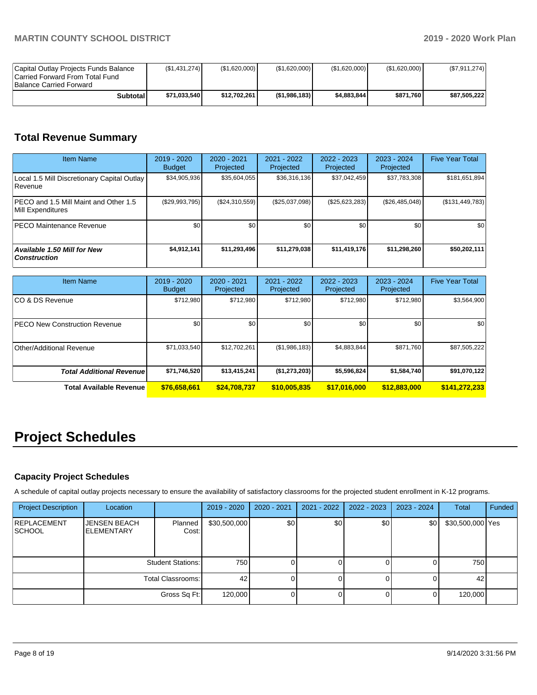| Capital Outlay Projects Funds Balance<br>Carried Forward From Total Fund<br><b>Balance Carried Forward</b> | (S1, 431, 274) | (\$1,620,000) | (\$1,620,000) | (S1,620,000) | (\$1,620,000) | (S7, 911, 274) |
|------------------------------------------------------------------------------------------------------------|----------------|---------------|---------------|--------------|---------------|----------------|
| Subtotal                                                                                                   | \$71.033.540   | \$12.702.261  | (\$1.986.183) | \$4.883.844  | \$871.760     | \$87.505.222   |

# **Total Revenue Summary**

| <b>Item Name</b>                                           | 2019 - 2020<br><b>Budget</b> | $2020 - 2021$<br>Projected | $2021 - 2022$<br>Projected | 2022 - 2023<br>Projected | $2023 - 2024$<br>Projected | <b>Five Year Total</b> |
|------------------------------------------------------------|------------------------------|----------------------------|----------------------------|--------------------------|----------------------------|------------------------|
| Local 1.5 Mill Discretionary Capital Outlay<br>l Revenue   | \$34,905,936                 | \$35,604,055               | \$36,316,136               | \$37,042,459             | \$37,783,308               | \$181,651,894          |
| PECO and 1.5 Mill Maint and Other 1.5<br>Mill Expenditures | $(\$29,993,795)$             | (\$24,310,559)             | (\$25,037,098)             | (\$25,623,283)           | (\$26,485,048)             | (\$131,449,783)        |
| <b>IPECO Maintenance Revenue</b>                           | \$0                          | \$0 <sub>1</sub>           | \$0                        | \$0                      | \$0 <sub>1</sub>           | \$0                    |
| <b>Available 1.50 Mill for New</b><br><b>Construction</b>  | \$4,912,141                  | \$11,293,496               | \$11,279,038               | \$11,419,176             | \$11,298,260               | \$50,202,111           |

| <b>Item Name</b>                      | $2019 - 2020$<br><b>Budget</b> | $2020 - 2021$<br>Projected | 2021 - 2022<br>Projected | 2022 - 2023<br>Projected | 2023 - 2024<br>Projected | <b>Five Year Total</b> |
|---------------------------------------|--------------------------------|----------------------------|--------------------------|--------------------------|--------------------------|------------------------|
| ICO & DS Revenue                      | \$712,980                      | \$712.980                  | \$712.980                | \$712,980                | \$712,980                | \$3,564,900            |
| <b>IPECO New Construction Revenue</b> | \$0                            | \$0                        | \$0                      | \$0                      | \$0                      | \$0                    |
| Other/Additional Revenue              | \$71,033,540                   | \$12,702.261               | (\$1,986,183)            | \$4,883,844              | \$871.760                | \$87,505,222           |
| <b>Total Additional Revenue</b>       | \$71,746,520                   | \$13,415,241               | (\$1,273,203)            | \$5,596,824              | \$1,584,740              | \$91,070,122           |
| Total Available Revenue               | \$76,658,661                   | \$24,708,737               | \$10,005,835             | \$17,016,000             | \$12,883,000             | \$141,272,233          |

# **Project Schedules**

## **Capacity Project Schedules**

A schedule of capital outlay projects necessary to ensure the availability of satisfactory classrooms for the projected student enrollment in K-12 programs.

| <b>Project Description</b>          | Location                                 |                          | 2019 - 2020  | $2020 - 2021$ | 2021 - 2022 | $2022 - 2023$ | 2023 - 2024 | Total            | Funded |
|-------------------------------------|------------------------------------------|--------------------------|--------------|---------------|-------------|---------------|-------------|------------------|--------|
| <b>REPLACEMENT</b><br><b>SCHOOL</b> | <b>JENSEN BEACH</b><br><b>ELEMENTARY</b> | Planned<br>Cost:         | \$30,500,000 | \$0           | \$0         | \$0           | \$0         | \$30,500,000 Yes |        |
|                                     |                                          | <b>Student Stations:</b> | 750          |               |             |               |             | 750              |        |
|                                     |                                          | Total Classrooms:        | 42           |               | O           |               |             | 42               |        |
|                                     |                                          | Gross Sq Ft:             | 120,000      |               | 01          |               |             | 120,000          |        |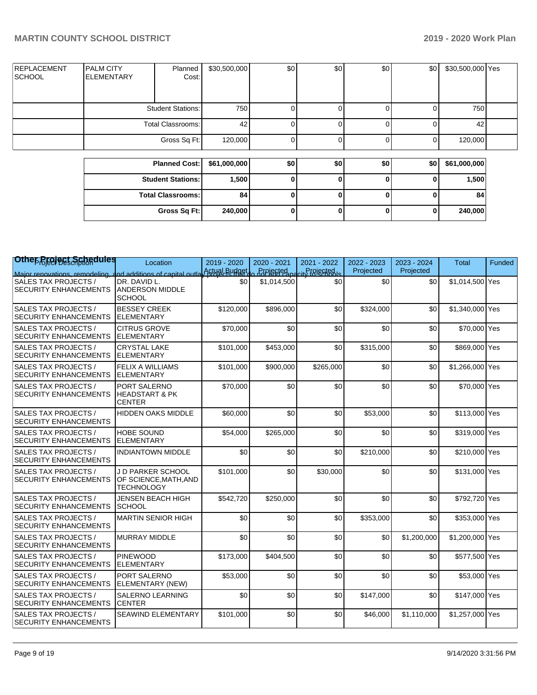|                               |                                        | <b>Planned Cost:</b>     | \$61,000,000 | \$0 | \$0 | \$0 | \$0 | \$61,000,000     |  |
|-------------------------------|----------------------------------------|--------------------------|--------------|-----|-----|-----|-----|------------------|--|
|                               |                                        | Gross Sq Ft:             | 120,000      |     |     |     |     | 120,000          |  |
|                               |                                        | Total Classrooms:        | 42           |     |     |     |     | 42               |  |
|                               |                                        | <b>Student Stations:</b> | 750          |     |     |     |     | 750              |  |
| <b>REPLACEMENT</b><br> SCHOOL | <b>PALM CITY</b><br><b>IELEMENTARY</b> | Planned<br>Cost:         | \$30,500,000 | \$0 | \$0 | \$0 | \$0 | \$30,500,000 Yes |  |

| <b>Student Stations:</b> | 1,500   |  | υ | 1,500   |
|--------------------------|---------|--|---|---------|
| <b>Total Classrooms:</b> | 84      |  | υ | 84      |
| Gross Sq Ft:             | 240,000 |  | u | 240,000 |

| Othep Broject Schedules                                                                                               | Location                                                              | 2019 - 2020<br>Actual Budget | 2020 - 2021<br>Projected | 2021 - 2022<br>Projected | 2022 - 2023<br>Projected | 2023 - 2024<br>Projected | <b>Total</b>    | Funded |
|-----------------------------------------------------------------------------------------------------------------------|-----------------------------------------------------------------------|------------------------------|--------------------------|--------------------------|--------------------------|--------------------------|-----------------|--------|
| Major renovations, remodeling, and additions of capital outla<br>SALES TAX PROJECTS /<br><b>SECURITY ENHANCEMENTS</b> | DR. DAVID L.<br><b>ANDERSON MIDDLE</b><br><b>SCHOOL</b>               | \$0                          | \$1,014,500              | \$0                      | \$0                      | \$0                      | \$1,014,500 Yes |        |
| <b>SALES TAX PROJECTS /</b><br><b>SECURITY ENHANCEMENTS</b>                                                           | <b>BESSEY CREEK</b><br>ELEMENTARY                                     | \$120,000                    | \$896,000                | \$0                      | \$324,000                | \$0                      | \$1,340,000 Yes |        |
| <b>SALES TAX PROJECTS /</b><br><b>SECURITY ENHANCEMENTS</b>                                                           | <b>CITRUS GROVE</b><br><b>ELEMENTARY</b>                              | \$70.000                     | \$0                      | \$0                      | \$0                      | \$0                      | \$70,000 Yes    |        |
| <b>SALES TAX PROJECTS /</b><br><b>SECURITY ENHANCEMENTS</b>                                                           | <b>CRYSTAL LAKE</b><br><b>ELEMENTARY</b>                              | \$101,000                    | \$453,000                | \$0                      | \$315,000                | \$0                      | \$869,000 Yes   |        |
| <b>SALES TAX PROJECTS /</b><br><b>SECURITY ENHANCEMENTS</b>                                                           | <b>FELIX A WILLIAMS</b><br><b>ELEMENTARY</b>                          | \$101,000                    | \$900,000                | \$265,000                | \$0                      | \$0                      | \$1,266,000 Yes |        |
| <b>SALES TAX PROJECTS /</b><br><b>SECURITY ENHANCEMENTS</b>                                                           | PORT SALERNO<br><b>HEADSTART &amp; PK</b><br><b>CENTER</b>            | \$70,000                     | \$0                      | \$0                      | \$0                      | \$0                      | \$70,000 Yes    |        |
| <b>SALES TAX PROJECTS /</b><br><b>SECURITY ENHANCEMENTS</b>                                                           | <b>HIDDEN OAKS MIDDLE</b>                                             | \$60,000                     | \$0                      | \$0                      | \$53,000                 | \$0                      | \$113,000 Yes   |        |
| <b>SALES TAX PROJECTS /</b><br><b>SECURITY ENHANCEMENTS</b>                                                           | <b>HOBE SOUND</b><br><b>ELEMENTARY</b>                                | \$54,000                     | \$265,000                | \$0                      | \$0                      | \$0                      | \$319,000 Yes   |        |
| <b>SALES TAX PROJECTS /</b><br><b>SECURITY ENHANCEMENTS</b>                                                           | <b>INDIANTOWN MIDDLE</b>                                              | \$0                          | \$0                      | \$0                      | \$210,000                | \$0                      | \$210,000 Yes   |        |
| <b>SALES TAX PROJECTS /</b><br><b>SECURITY ENHANCEMENTS</b>                                                           | <b>JD PARKER SCHOOL</b><br>OF SCIENCE, MATH, AND<br><b>TECHNOLOGY</b> | \$101,000                    | \$0                      | \$30,000                 | \$0                      | \$0                      | \$131,000 Yes   |        |
| <b>SALES TAX PROJECTS /</b><br><b>SECURITY ENHANCEMENTS</b>                                                           | JENSEN BEACH HIGH<br><b>SCHOOL</b>                                    | \$542,720                    | \$250,000                | \$0                      | \$0                      | \$0                      | \$792,720 Yes   |        |
| <b>SALES TAX PROJECTS /</b><br><b>SECURITY ENHANCEMENTS</b>                                                           | <b>MARTIN SENIOR HIGH</b>                                             | \$0                          | \$0                      | \$0                      | \$353,000                | \$0                      | \$353,000 Yes   |        |
| <b>SALES TAX PROJECTS /</b><br><b>SECURITY ENHANCEMENTS</b>                                                           | <b>MURRAY MIDDLE</b>                                                  | \$0                          | \$0                      | \$0                      | \$0                      | \$1,200,000              | \$1,200,000 Yes |        |
| <b>SALES TAX PROJECTS /</b><br><b>SECURITY ENHANCEMENTS</b>                                                           | <b>PINEWOOD</b><br><b>ELEMENTARY</b>                                  | \$173,000                    | \$404,500                | \$0                      | \$0                      | \$0                      | \$577,500 Yes   |        |
| <b>SALES TAX PROJECTS /</b><br><b>SECURITY ENHANCEMENTS</b>                                                           | <b>PORT SALERNO</b><br>ELEMENTARY (NEW)                               | \$53,000                     | \$0                      | \$0                      | \$0                      | \$0                      | \$53,000 Yes    |        |
| <b>SALES TAX PROJECTS /</b><br><b>SECURITY ENHANCEMENTS</b>                                                           | <b>SALERNO LEARNING</b><br><b>CENTER</b>                              | \$0                          | \$0                      | \$0                      | \$147,000                | \$0                      | \$147,000 Yes   |        |
| SALES TAX PROJECTS /<br><b>SECURITY ENHANCEMENTS</b>                                                                  | <b>SEAWIND ELEMENTARY</b>                                             | \$101,000                    | \$0                      | \$0                      | \$46,000                 | \$1,110,000              | \$1,257,000 Yes |        |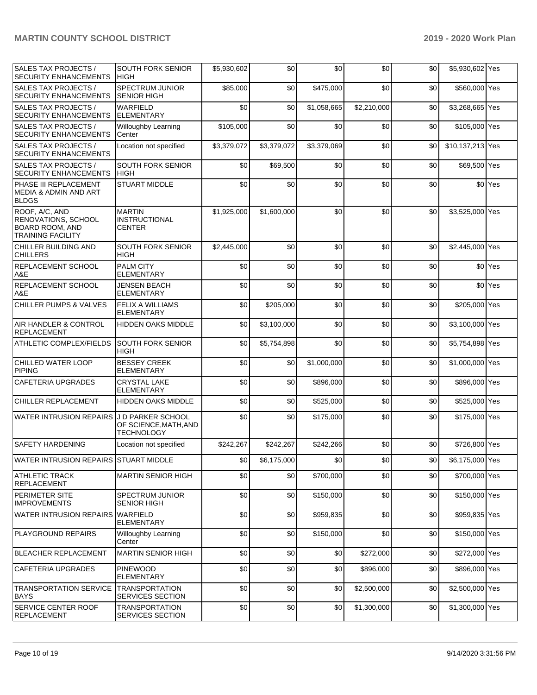## **MARTIN COUNTY SCHOOL DISTRICT 2019 - 2020 Work Plan**

| <b>SALES TAX PROJECTS /</b><br><b>SECURITY ENHANCEMENTS</b>                                 | <b>SOUTH FORK SENIOR</b><br><b>HIGH</b>                         | \$5,930,602 | \$0         | \$0         | \$0         | \$0 | \$5,930,602 Yes  |                    |
|---------------------------------------------------------------------------------------------|-----------------------------------------------------------------|-------------|-------------|-------------|-------------|-----|------------------|--------------------|
| SALES TAX PROJECTS /<br><b>SECURITY ENHANCEMENTS</b>                                        | <b>SPECTRUM JUNIOR</b><br><b>SENIOR HIGH</b>                    | \$85,000    | \$0         | \$475.000   | \$0         | \$0 | \$560,000 Yes    |                    |
| SALES TAX PROJECTS /<br><b>SECURITY ENHANCEMENTS</b>                                        | <b>WARFIELD</b><br><b>ELEMENTARY</b>                            | \$0         | \$0         | \$1.058.665 | \$2,210,000 | \$0 | \$3,268,665 Yes  |                    |
| <b>SALES TAX PROJECTS /</b><br><b>SECURITY ENHANCEMENTS</b>                                 | <b>Willoughby Learning</b><br>Center                            | \$105,000   | \$0         | \$0         | \$0         | \$0 | \$105,000 Yes    |                    |
| SALES TAX PROJECTS /<br><b>SECURITY ENHANCEMENTS</b>                                        | Location not specified                                          | \$3,379,072 | \$3,379,072 | \$3,379,069 | \$0         | \$0 | \$10,137,213 Yes |                    |
| SALES TAX PROJECTS /<br><b>SECURITY ENHANCEMENTS</b>                                        | <b>SOUTH FORK SENIOR</b><br><b>HIGH</b>                         | \$0         | \$69,500    | \$0         | \$0         | \$0 | \$69,500 Yes     |                    |
| PHASE III REPLACEMENT<br><b>MEDIA &amp; ADMIN AND ART</b><br><b>BLDGS</b>                   | <b>STUART MIDDLE</b>                                            | \$0         | \$0         | \$0         | \$0         | \$0 |                  | \$0 Yes            |
| ROOF, A/C, AND<br>RENOVATIONS, SCHOOL<br><b>BOARD ROOM, AND</b><br><b>TRAINING FACILITY</b> | <b>MARTIN</b><br><b>INSTRUCTIONAL</b><br><b>CENTER</b>          | \$1,925,000 | \$1,600,000 | \$0         | \$0         | \$0 | \$3,525,000 Yes  |                    |
| CHILLER BUILDING AND<br><b>CHILLERS</b>                                                     | <b>SOUTH FORK SENIOR</b><br><b>HIGH</b>                         | \$2,445,000 | \$0         | \$0         | \$0         | \$0 | \$2,445,000      | Yes                |
| REPLACEMENT SCHOOL<br>A&E                                                                   | <b>PALM CITY</b><br><b>ELEMENTARY</b>                           | \$0         | \$0         | \$0         | \$0         | \$0 |                  | \$0 Yes            |
| REPLACEMENT SCHOOL<br>A&E                                                                   | <b>JENSEN BEACH</b><br>ELEMENTARY                               | \$0         | \$0         | \$0         | \$0         | \$0 |                  | \$0 <sup>Yes</sup> |
| <b>CHILLER PUMPS &amp; VALVES</b>                                                           | <b>FELIX A WILLIAMS</b><br><b>ELEMENTARY</b>                    | \$0         | \$205,000   | \$0         | \$0         | \$0 | \$205,000 Yes    |                    |
| AIR HANDLER & CONTROL<br><b>REPLACEMENT</b>                                                 | <b>HIDDEN OAKS MIDDLE</b>                                       | \$0         | \$3,100,000 | \$0         | \$0         | \$0 | \$3,100,000 Yes  |                    |
| ATHLETIC COMPLEX/FIELDS                                                                     | <b>SOUTH FORK SENIOR</b><br><b>HIGH</b>                         | \$0         | \$5,754,898 | \$0         | \$0         | \$0 | \$5,754,898 Yes  |                    |
| CHILLED WATER LOOP<br><b>PIPING</b>                                                         | <b>BESSEY CREEK</b><br><b>ELEMENTARY</b>                        | \$0         | \$0         | \$1,000,000 | \$0         | \$0 | \$1,000,000 Yes  |                    |
| <b>CAFETERIA UPGRADES</b>                                                                   | <b>CRYSTAL LAKE</b><br><b>ELEMENTARY</b>                        | \$0         | \$0         | \$896,000   | \$0         | \$0 | \$896,000 Yes    |                    |
| CHILLER REPLACEMENT                                                                         | <b>HIDDEN OAKS MIDDLE</b>                                       | \$0         | \$0         | \$525,000   | \$0         | \$0 | \$525,000 Yes    |                    |
| <b>WATER INTRUSION REPAIRS</b>                                                              | J D PARKER SCHOOL<br>OF SCIENCE, MATH, AND<br><b>TECHNOLOGY</b> | \$0         | \$0         | \$175,000   | \$0         | \$0 | \$175,000 Yes    |                    |
| <b>SAFETY HARDENING</b>                                                                     | Location not specified                                          | \$242.267   | \$242,267   | \$242.266   | \$0         | \$0 | \$726,800 Yes    |                    |
| WATER INTRUSION REPAIRS STUART MIDDLE                                                       |                                                                 | \$0         | \$6,175,000 | \$0         | \$0         | \$0 | \$6,175,000 Yes  |                    |
| <b>ATHLETIC TRACK</b><br><b>REPLACEMENT</b>                                                 | <b>MARTIN SENIOR HIGH</b>                                       | \$0         | \$0         | \$700,000   | \$0         | \$0 | \$700,000 Yes    |                    |
| PERIMETER SITE<br><b>IMPROVEMENTS</b>                                                       | SPECTRUM JUNIOR<br><b>SENIOR HIGH</b>                           | \$0         | \$0         | \$150,000   | \$0         | \$0 | \$150,000 Yes    |                    |
| WATER INTRUSION REPAIRS WARFIELD                                                            | <b>ELEMENTARY</b>                                               | \$0         | \$0         | \$959,835   | \$0         | \$0 | \$959,835 Yes    |                    |
| <b>PLAYGROUND REPAIRS</b>                                                                   | <b>Willoughby Learning</b><br>Center                            | \$0         | \$0         | \$150,000   | \$0         | \$0 | \$150,000 Yes    |                    |
| <b>BLEACHER REPLACEMENT</b>                                                                 | <b>MARTIN SENIOR HIGH</b>                                       | \$0         | \$0         | \$0         | \$272,000   | \$0 | \$272,000 Yes    |                    |
| CAFETERIA UPGRADES                                                                          | <b>PINEWOOD</b><br><b>ELEMENTARY</b>                            | \$0         | \$0         | \$0         | \$896,000   | \$0 | \$896,000 Yes    |                    |
| <b>TRANSPORTATION SERVICE</b><br><b>BAYS</b>                                                | <b>TRANSPORTATION</b><br>SERVICES SECTION                       | \$0         | \$0         | \$0         | \$2,500,000 | \$0 | \$2,500,000 Yes  |                    |
| SERVICE CENTER ROOF<br><b>REPLACEMENT</b>                                                   | <b>TRANSPORTATION</b><br>SERVICES SECTION                       | \$0         | \$0         | \$0         | \$1,300,000 | \$0 | \$1,300,000 Yes  |                    |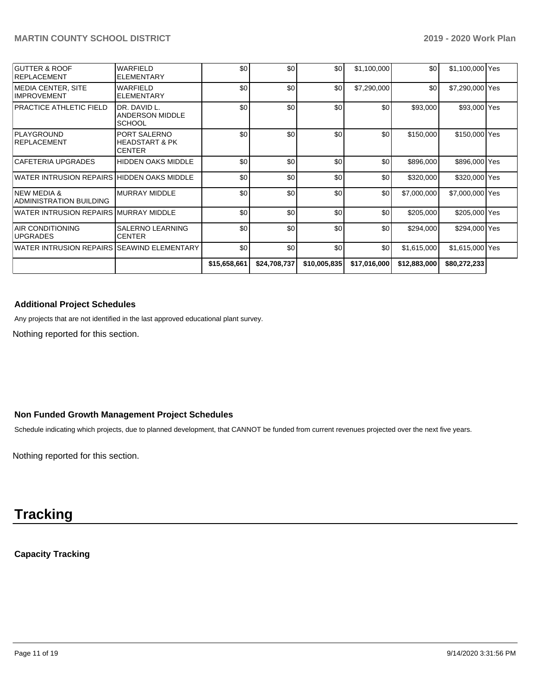| GUTTER & ROOF<br><b>IREPLACEMENT</b>        | <b>WARFIELD</b><br><b>ELEMENTARY</b>                       | \$0          | \$0          | \$0          | \$1,100,000  | \$0          | \$1,100,000 Yes |  |
|---------------------------------------------|------------------------------------------------------------|--------------|--------------|--------------|--------------|--------------|-----------------|--|
| IMEDIA CENTER. SITE<br><b>IMPROVEMENT</b>   | <b>WARFIELD</b><br><b>ELEMENTARY</b>                       | \$0          | \$0          | \$0          | \$7,290,000  | \$0          | \$7,290,000 Yes |  |
| PRACTICE ATHLETIC FIELD                     | DR. DAVID L.<br>ANDERSON MIDDLE<br><b>SCHOOL</b>           | \$0          | \$0          | \$0          | \$0          | \$93,000     | \$93,000 Yes    |  |
| PLAYGROUND<br><b>IREPLACEMENT</b>           | PORT SALERNO<br><b>HEADSTART &amp; PK</b><br><b>CENTER</b> | \$0          | \$0          | \$0          | \$0          | \$150,000    | \$150,000 Yes   |  |
| <b>CAFETERIA UPGRADES</b>                   | <b>HIDDEN OAKS MIDDLE</b>                                  | \$0          | \$0          | \$0          | \$0          | \$896,000    | \$896,000 Yes   |  |
| WATER INTRUSION REPAIRS HIDDEN OAKS MIDDLE  |                                                            | \$0          | \$0          | \$0          | \$0          | \$320,000    | \$320,000 Yes   |  |
| INFW MFDIA &<br>ADMINISTRATION BUILDING     | <b>MURRAY MIDDLE</b>                                       | \$0          | \$0          | \$0          | \$0          | \$7,000,000  | \$7,000,000 Yes |  |
| WATER INTRUSION REPAIRS MURRAY MIDDLE       |                                                            | \$0          | \$0          | \$0          | \$0          | \$205,000    | \$205,000 Yes   |  |
| <b>AIR CONDITIONING</b><br><b>UPGRADES</b>  | <b>SALERNO LEARNING</b><br><b>CENTER</b>                   | \$0          | \$0          | \$0          | \$0          | \$294,000    | \$294,000 Yes   |  |
| WATER INTRUSION REPAIRS ISEAWIND ELEMENTARY |                                                            | \$0          | \$0          | \$0          | \$0          | \$1,615,000  | \$1,615,000 Yes |  |
|                                             |                                                            | \$15,658,661 | \$24,708,737 | \$10,005,835 | \$17,016,000 | \$12,883,000 | \$80,272,233    |  |

### **Additional Project Schedules**

Any projects that are not identified in the last approved educational plant survey.

Nothing reported for this section.

## **Non Funded Growth Management Project Schedules**

Schedule indicating which projects, due to planned development, that CANNOT be funded from current revenues projected over the next five years.

Nothing reported for this section.

# **Tracking**

## **Capacity Tracking**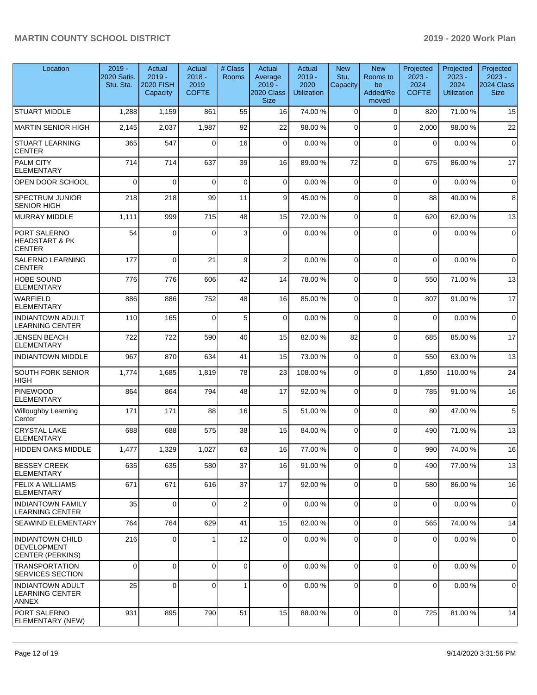| Location                                                   | $2019 -$<br><b>2020 Satis.</b><br>Stu. Sta. | Actual<br>$2019 -$<br><b>2020 FISH</b><br>Capacity | Actual<br>$2018 -$<br>2019<br><b>COFTE</b> | # Class<br>Rooms | Actual<br>Average<br>$2019 -$<br>2020 Class<br><b>Size</b> | Actual<br>$2019 -$<br>2020<br><b>Utilization</b> | <b>New</b><br>Stu.<br>Capacity | <b>New</b><br>Rooms to<br>be<br>Added/Re<br>moved | Projected<br>$2023 -$<br>2024<br><b>COFTE</b> | Projected<br>$2023 -$<br>2024<br><b>Utilization</b> | Projected<br>$2023 -$<br>2024 Class<br><b>Size</b> |
|------------------------------------------------------------|---------------------------------------------|----------------------------------------------------|--------------------------------------------|------------------|------------------------------------------------------------|--------------------------------------------------|--------------------------------|---------------------------------------------------|-----------------------------------------------|-----------------------------------------------------|----------------------------------------------------|
| <b>STUART MIDDLE</b>                                       | 1,288                                       | 1,159                                              | 861                                        | 55               | 16                                                         | 74.00 %                                          | $\Omega$                       | $\mathbf 0$                                       | 820                                           | 71.00 %                                             | 15                                                 |
| <b>MARTIN SENIOR HIGH</b>                                  | 2,145                                       | 2,037                                              | 1,987                                      | 92               | 22                                                         | 98.00%                                           | 0                              | $\Omega$                                          | 2,000                                         | 98.00 %                                             | 22                                                 |
| <b>STUART LEARNING</b><br><b>CENTER</b>                    | 365                                         | 547                                                | $\Omega$                                   | 16               | $\overline{0}$                                             | 0.00%                                            | 0                              | $\Omega$                                          | $\Omega$                                      | 0.00%                                               | $\pmb{0}$                                          |
| PALM CITY<br>ELEMENTARY                                    | 714                                         | 714                                                | 637                                        | 39               | 16                                                         | 89.00 %                                          | 72                             | $\mathbf 0$                                       | 675                                           | 86.00 %                                             | 17                                                 |
| OPEN DOOR SCHOOL                                           | $\Omega$                                    | $\Omega$                                           | $\Omega$                                   | $\mathbf 0$      | $\overline{0}$                                             | 0.00%                                            | $\mathbf 0$                    | $\mathbf 0$                                       | $\mathbf 0$                                   | 0.00%                                               | $\mathbf 0$                                        |
| <b>SPECTRUM JUNIOR</b><br><b>SENIOR HIGH</b>               | 218                                         | 218                                                | 99                                         | 11               | 9                                                          | 45.00 %                                          | $\Omega$                       | $\Omega$                                          | 88                                            | 40.00 %                                             | 8                                                  |
| MURRAY MIDDLE                                              | 1,111                                       | 999                                                | 715                                        | 48               | 15                                                         | 72.00 %                                          | 0                              | $\mathbf 0$                                       | 620                                           | 62.00%                                              | 13                                                 |
| PORT SALERNO<br><b>HEADSTART &amp; PK</b><br><b>CENTER</b> | 54                                          | $\mathbf{0}$                                       | $\Omega$                                   | 3                | $\overline{0}$                                             | 0.00%                                            | $\Omega$                       | $\Omega$                                          | 0                                             | 0.00%                                               | $\pmb{0}$                                          |
| SALERNO LEARNING<br><b>CENTER</b>                          | 177                                         | $\Omega$                                           | 21                                         | 9                | $\overline{2}$                                             | 0.00%                                            | $\Omega$                       | $\Omega$                                          | $\Omega$                                      | 0.00%                                               | $\mathbf 0$                                        |
| <b>HOBE SOUND</b><br><b>ELEMENTARY</b>                     | 776                                         | 776                                                | 606                                        | 42               | 14                                                         | 78.00 %                                          | $\Omega$                       | $\mathbf 0$                                       | 550                                           | 71.00 %                                             | 13                                                 |
| <b>WARFIELD</b><br>ELEMENTARY                              | 886                                         | 886                                                | 752                                        | 48               | 16                                                         | 85.00 %                                          | $\Omega$                       | $\mathbf 0$                                       | 807                                           | 91.00%                                              | 17                                                 |
| <b>INDIANTOWN ADULT</b><br><b>LEARNING CENTER</b>          | 110                                         | 165                                                | $\Omega$                                   | 5                | $\Omega$                                                   | 0.00%                                            | $\Omega$                       | $\Omega$                                          | $\mathbf 0$                                   | 0.00%                                               | $\mathbf 0$                                        |
| <b>JENSEN BEACH</b><br><b>ELEMENTARY</b>                   | 722                                         | 722                                                | 590                                        | 40               | 15                                                         | 82.00 %                                          | 82                             | $\Omega$                                          | 685                                           | 85.00 %                                             | 17                                                 |
| <b>INDIANTOWN MIDDLE</b>                                   | 967                                         | 870                                                | 634                                        | 41               | 15                                                         | 73.00 %                                          | 0                              | $\mathbf 0$                                       | 550                                           | 63.00 %                                             | 13                                                 |
| SOUTH FORK SENIOR<br><b>HIGH</b>                           | 1,774                                       | 1,685                                              | 1,819                                      | 78               | 23                                                         | 108.00%                                          | $\Omega$                       | $\mathbf 0$                                       | 1,850                                         | 110.00%                                             | 24                                                 |
| <b>PINEWOOD</b><br><b>ELEMENTARY</b>                       | 864                                         | 864                                                | 794                                        | 48               | 17                                                         | 92.00 %                                          | $\Omega$                       | $\Omega$                                          | 785                                           | 91.00%                                              | 16                                                 |
| Willoughby Learning<br>Center                              | 171                                         | 171                                                | 88                                         | 16               | 5 <sub>5</sub>                                             | 51.00 %                                          | $\Omega$                       | $\mathbf 0$                                       | 80                                            | 47.00 %                                             | 5                                                  |
| <b>CRYSTAL LAKE</b><br>ELEMENTARY                          | 688                                         | 688                                                | 575                                        | 38               | 15                                                         | 84.00 %                                          | $\Omega$                       | $\mathbf 0$                                       | 490                                           | 71.00 %                                             | 13                                                 |
| <b>HIDDEN OAKS MIDDLE</b>                                  | 1,477                                       | 1,329                                              | 1,027                                      | 63               | 16                                                         | 77.00 %                                          | $\mathbf 0$                    | $\mathbf 0$                                       | 990                                           | 74.00%                                              | 16                                                 |
| <b>BESSEY CREEK</b><br><b>ELEMENTARY</b>                   | 635                                         | 635                                                | 580                                        | 37               | 16                                                         | 91.00%                                           | $\Omega$                       | $\mathbf 0$                                       | 490                                           | 77.00 %                                             | 13                                                 |
| <b>FELIX A WILLIAMS</b><br><b>ELEMENTARY</b>               | 671                                         | 671                                                | 616                                        | 37               | 17                                                         | 92.00 %                                          | 0                              | $\mathbf 0$                                       | 580                                           | 86.00 %                                             | 16                                                 |
| <b>INDIANTOWN FAMILY</b><br><b>LEARNING CENTER</b>         | 35                                          | $\mathbf 0$                                        | $\Omega$                                   | $\overline{2}$   | $\overline{0}$                                             | 0.00%                                            | 0                              | $\mathbf 0$                                       | 0                                             | 0.00%                                               | 0                                                  |
| SEAWIND ELEMENTARY                                         | 764                                         | 764                                                | 629                                        | 41               | 15                                                         | 82.00 %                                          | $\Omega$                       | $\mathbf 0$                                       | 565                                           | 74.00%                                              | 14                                                 |
| <b>INDIANTOWN CHILD</b><br>DEVELOPMENT<br>CENTER (PERKINS) | 216                                         | $\Omega$                                           |                                            | 12               | $\overline{0}$                                             | 0.00%                                            | $\Omega$                       | $\mathbf 0$                                       | 0                                             | 0.00%                                               | $\mathbf 0$                                        |
| <b>TRANSPORTATION</b><br><b>SERVICES SECTION</b>           | 0                                           | $\Omega$                                           | $\Omega$                                   | $\mathbf 0$      | $\Omega$                                                   | 0.00%                                            | $\Omega$                       | $\Omega$                                          | $\mathbf 0$                                   | 0.00%                                               | $\Omega$                                           |
| <b>INDIANTOWN ADULT</b><br><b>LEARNING CENTER</b><br>ANNEX | 25                                          | $\mathbf 0$                                        | 0                                          | 1                | $\overline{0}$                                             | 0.00%                                            | $\mathbf 0$                    | $\mathbf 0$                                       | 0                                             | 0.00%                                               | 0                                                  |
| PORT SALERNO<br>ELEMENTARY (NEW)                           | 931                                         | 895                                                | 790                                        | 51               | 15                                                         | 88.00 %                                          | $\mathbf 0$                    | $\mathbf 0$                                       | 725                                           | 81.00%                                              | 14                                                 |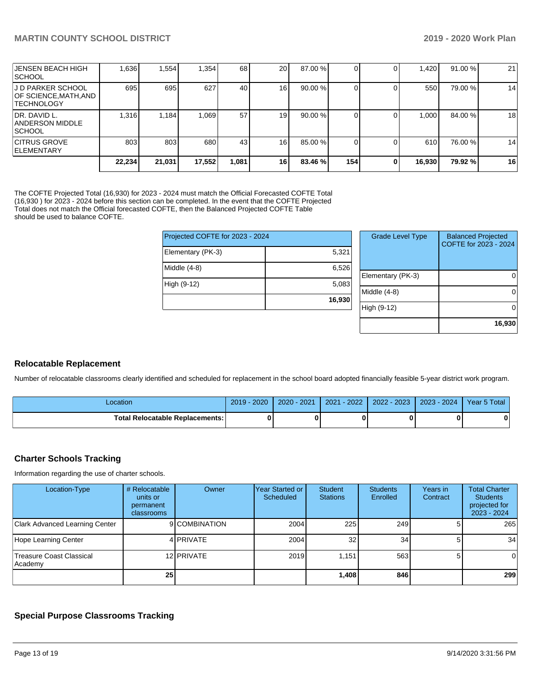| IJENSEN BEACH HIGH<br><b>ISCHOOL</b>                            | 1,636  | 1,554  | 1,354  | 68   | <b>20</b>       | 87.00 % |     |   | .420   | 91.00 % | 21 |
|-----------------------------------------------------------------|--------|--------|--------|------|-----------------|---------|-----|---|--------|---------|----|
| IJ D PARKER SCHOOL<br>OF SCIENCE,MATH,AND<br><b>ITECHNOLOGY</b> | 695    | 695    | 627    | 40   | 16 I            | 90.00 % |     |   | 550    | 79.00 % | 14 |
| IDR. DAVID L.<br><b>ANDERSON MIDDLE</b><br><b>ISCHOOL</b>       | 1.316  | 1.184  | 1.069  | 57   | 19 <sup>l</sup> | 90.00 % |     |   | 1.000  | 84.00 % | 18 |
| ICITRUS GROVE<br><b>IELEMENTARY</b>                             | 803    | 803    | 680    | 43   | 16 <sup>1</sup> | 85.00 % |     |   | 610    | 76.00 % | 14 |
|                                                                 | 22,234 | 21,031 | 17,552 | .081 | <b>16</b>       | 83.46 % | 154 | 0 | 16,930 | 79.92 % | 16 |

The COFTE Projected Total (16,930) for 2023 - 2024 must match the Official Forecasted COFTE Total (16,930 ) for 2023 - 2024 before this section can be completed. In the event that the COFTE Projected Total does not match the Official forecasted COFTE, then the Balanced Projected COFTE Table should be used to balance COFTE.

| Projected COFTE for 2023 - 2024 |        |  |        |
|---------------------------------|--------|--|--------|
| Elementary (PK-3)               | 5,321  |  |        |
| Middle $(4-8)$                  | 6,526  |  | Eleme  |
| High (9-12)                     | 5,083  |  | Middle |
|                                 | 16,930 |  |        |
|                                 |        |  | Hig    |

| <b>Grade Level Type</b> | <b>Balanced Projected</b><br>COFTE for 2023 - 2024 |
|-------------------------|----------------------------------------------------|
| Elementary (PK-3)       |                                                    |
| Middle $(4-8)$          |                                                    |
| High (9-12)             |                                                    |
|                         | 16,930                                             |

#### **Relocatable Replacement**

Number of relocatable classrooms clearly identified and scheduled for replacement in the school board adopted financially feasible 5-year district work program.

| -ocation                                 | $2019 - 2020$ | $2020 - 2021$ | $-2022$<br>2021 | 2022 - 2023 | $2023 - 2024$ | Year 5 Total |
|------------------------------------------|---------------|---------------|-----------------|-------------|---------------|--------------|
| <b>Total Relocatable Replacements: I</b> |               |               |                 |             |               |              |

#### **Charter Schools Tracking**

Information regarding the use of charter schools.

| Location-Type                       | # Relocatable<br>units or<br>permanent<br>classrooms | Owner         | Year Started or<br>Scheduled | Student<br><b>Stations</b> | <b>Students</b><br>Enrolled | Years in<br>Contract | <b>Total Charter</b><br><b>Students</b><br>projected for<br>2023 - 2024 |
|-------------------------------------|------------------------------------------------------|---------------|------------------------------|----------------------------|-----------------------------|----------------------|-------------------------------------------------------------------------|
| Clark Advanced Learning Center      |                                                      | 9 COMBINATION | 2004                         | 225                        | 249                         |                      | 265                                                                     |
| Hope Learning Center                |                                                      | 4 PRIVATE     | 2004                         | 32                         | 34                          |                      | 34                                                                      |
| Treasure Coast Classical<br>Academy |                                                      | 12 PRIVATE    | 2019                         | 1.151                      | 563                         |                      | 0                                                                       |
|                                     | 25                                                   |               |                              | 1.408                      | 846 l                       |                      | 299                                                                     |

## **Special Purpose Classrooms Tracking**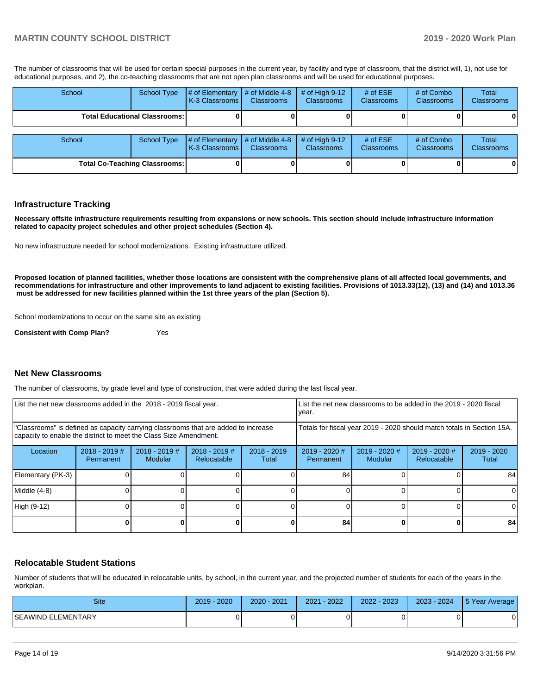### **MARTIN COUNTY SCHOOL DISTRICT 2019 - 2020 Work Plan**

The number of classrooms that will be used for certain special purposes in the current year, by facility and type of classroom, that the district will, 1), not use for educational purposes, and 2), the co-teaching classrooms that are not open plan classrooms and will be used for educational purposes.

| School                               | <b>School Type</b> | # of Elementary<br>K-3 Classrooms I | $\parallel$ # of Middle 4-8<br><b>Classrooms</b> | # of High $9-12$<br><b>Classrooms</b> | # of $ESE$<br><b>Classrooms</b> | # of Combo<br><b>Classrooms</b> | Total<br>Classrooms |
|--------------------------------------|--------------------|-------------------------------------|--------------------------------------------------|---------------------------------------|---------------------------------|---------------------------------|---------------------|
| <b>Total Educational Classrooms:</b> |                    |                                     |                                                  |                                       |                                 |                                 |                     |
| School                               | <b>School Type</b> | # of Elementary                     | $\parallel$ # of Middle 4-8                      | # of High $9-12$                      | # of $ESE$                      | # of Combo                      | Total               |
|                                      |                    | K-3 Classrooms I                    | <b>Classrooms</b>                                | <b>Classrooms</b>                     | <b>Classrooms</b>               | <b>Classrooms</b>               | Classrooms          |
| <b>Total Co-Teaching Classrooms:</b> |                    |                                     |                                                  |                                       |                                 |                                 | 0                   |

#### **Infrastructure Tracking**

**Necessary offsite infrastructure requirements resulting from expansions or new schools. This section should include infrastructure information related to capacity project schedules and other project schedules (Section 4).** 

No new infrastructure needed for school modernizations. Existing infrastructure utilized.

**Proposed location of planned facilities, whether those locations are consistent with the comprehensive plans of all affected local governments, and recommendations for infrastructure and other improvements to land adjacent to existing facilities. Provisions of 1013.33(12), (13) and (14) and 1013.36 must be addressed for new facilities planned within the 1st three years of the plan (Section 5).** 

School modernizations to occur on the same site as existing

**Consistent with Comp Plan?** Yes

#### **Net New Classrooms**

The number of classrooms, by grade level and type of construction, that were added during the last fiscal year.

| List the net new classrooms added in the 2018 - 2019 fiscal year.                                                                                       | List the net new classrooms to be added in the 2019 - 2020 fiscal<br>year. |                            |                                |                        |                                                                        |                            |                              |                      |
|---------------------------------------------------------------------------------------------------------------------------------------------------------|----------------------------------------------------------------------------|----------------------------|--------------------------------|------------------------|------------------------------------------------------------------------|----------------------------|------------------------------|----------------------|
| "Classrooms" is defined as capacity carrying classrooms that are added to increase<br>capacity to enable the district to meet the Class Size Amendment. |                                                                            |                            |                                |                        | Totals for fiscal year 2019 - 2020 should match totals in Section 15A. |                            |                              |                      |
| Location                                                                                                                                                | $2018 - 2019$ #<br>Permanent                                               | $2018 - 2019$ #<br>Modular | $2018 - 2019$ #<br>Relocatable | $2018 - 2019$<br>Total | $2019 - 2020$ #<br>Permanent                                           | $2019 - 2020$ #<br>Modular | 2019 - 2020 #<br>Relocatable | 2019 - 2020<br>Total |
| Elementary (PK-3)                                                                                                                                       |                                                                            |                            |                                |                        | 84                                                                     |                            |                              | 84                   |
| Middle (4-8)                                                                                                                                            |                                                                            |                            |                                |                        |                                                                        |                            |                              | $\Omega$             |
| High (9-12)                                                                                                                                             |                                                                            |                            |                                |                        |                                                                        |                            |                              | $\Omega$             |
|                                                                                                                                                         |                                                                            |                            |                                |                        | 84                                                                     |                            |                              | 84                   |

#### **Relocatable Student Stations**

Number of students that will be educated in relocatable units, by school, in the current year, and the projected number of students for each of the years in the workplan.

| Site                | 2020<br>$2019 -$ | 2020 - 2021 | $-2022$<br>2021 | 2022 - 2023 | $2023 - 2024$ | 5 Year Average |
|---------------------|------------------|-------------|-----------------|-------------|---------------|----------------|
| ISEAWIND ELEMENTARY |                  |             |                 |             |               |                |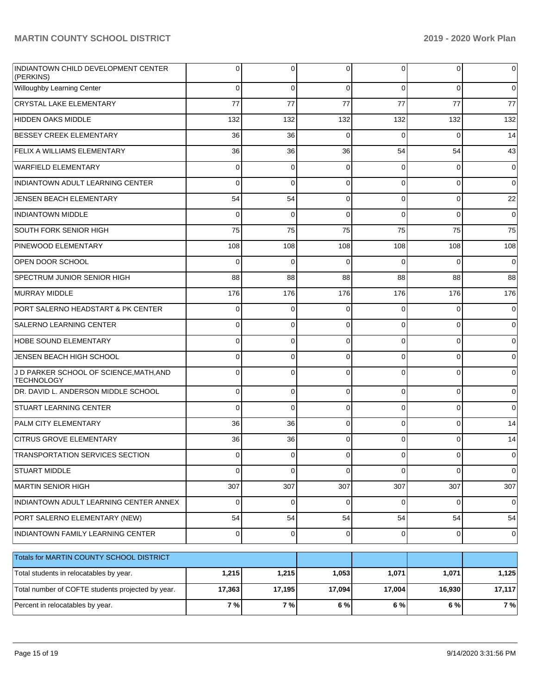| INDIANTOWN CHILD DEVELOPMENT CENTER<br>(PERKINS)             | 0        | 0           | 0           | 0        | $\overline{0}$ | $\mathbf 0$         |
|--------------------------------------------------------------|----------|-------------|-------------|----------|----------------|---------------------|
| Willoughby Learning Center                                   | $\Omega$ | $\mathbf 0$ | $\Omega$    | $\Omega$ | $\overline{0}$ | $\overline{0}$      |
| <b>CRYSTAL LAKE ELEMENTARY</b>                               | 77       | 77          | 77          | 77       | 77             | 77                  |
| <b>HIDDEN OAKS MIDDLE</b>                                    | 132      | 132         | 132         | 132      | 132            | 132                 |
| <b>BESSEY CREEK ELEMENTARY</b>                               | 36       | 36          | $\Omega$    | $\Omega$ | $\Omega$       | 14                  |
| FELIX A WILLIAMS ELEMENTARY                                  | 36       | 36          | 36          | 54       | 54             | 43                  |
| <b>WARFIELD ELEMENTARY</b>                                   | 0        | 0           | $\Omega$    | $\Omega$ | $\overline{0}$ | $\mathbf 0$         |
| INDIANTOWN ADULT LEARNING CENTER                             | $\Omega$ | $\Omega$    | $\Omega$    | $\Omega$ | $\overline{0}$ | $\overline{0}$      |
| <b>JENSEN BEACH ELEMENTARY</b>                               | 54       | 54          | $\Omega$    | $\Omega$ | $\overline{0}$ | 22                  |
| <b>INDIANTOWN MIDDLE</b>                                     | 0        | $\Omega$    | $\Omega$    | $\Omega$ | $\overline{0}$ | $\overline{0}$      |
| SOUTH FORK SENIOR HIGH                                       | 75       | 75          | 75          | 75       | 75             | 75                  |
| PINEWOOD ELEMENTARY                                          | 108      | 108         | 108         | 108      | 108            | 108                 |
| OPEN DOOR SCHOOL                                             | 0        | 0           | $\Omega$    | $\Omega$ | $\Omega$       | $\overline{0}$      |
| <b>SPECTRUM JUNIOR SENIOR HIGH</b>                           | 88       | 88          | 88          | 88       | 88             | 88                  |
| MURRAY MIDDLE                                                | 176      | 176         | 176         | 176      | 176            | 176                 |
| PORT SALERNO HEADSTART & PK CENTER                           | 0        | $\mathbf 0$ | $\Omega$    | $\Omega$ | $\overline{0}$ | $\overline{0}$      |
| <b>SALERNO LEARNING CENTER</b>                               | 0        | 0           | $\Omega$    | $\Omega$ | $\overline{0}$ | $\overline{0}$      |
| <b>HOBE SOUND ELEMENTARY</b>                                 | 0        | 0           | $\Omega$    | $\Omega$ | $\overline{0}$ | $\overline{0}$      |
| JENSEN BEACH HIGH SCHOOL                                     | 0        | 0           | $\Omega$    | $\Omega$ | $\overline{0}$ | $\overline{0}$      |
| J D PARKER SCHOOL OF SCIENCE, MATH, AND<br><b>TECHNOLOGY</b> | 0        | $\Omega$    | $\Omega$    | $\Omega$ | $\overline{0}$ | $\overline{0}$      |
| DR. DAVID L. ANDERSON MIDDLE SCHOOL                          | 0        | 0           | $\Omega$    | $\Omega$ | 0              | $\overline{0}$      |
| <b>STUART LEARNING CENTER</b>                                | 0        | 0           | $\Omega$    | $\Omega$ | 0              | $\overline{0}$      |
| <b>PALM CITY ELEMENTARY</b>                                  | 36       | 36          | $\Omega$    | $\Omega$ | 0              | 14                  |
| <b>CITRUS GROVE ELEMENTARY</b>                               | 36       | 36          | $\Omega$    | 0        | $\Omega$       | 14                  |
| <b>TRANSPORTATION SERVICES SECTION</b>                       | $\Omega$ | $\Omega$    | $\Omega$    | $\Omega$ | $\Omega$       | $\overline{0}$      |
| <b>STUART MIDDLE</b>                                         | 0        | 0           | $\Omega$    | $\Omega$ | $\overline{0}$ | $\mathsf{O}\xspace$ |
| <b>MARTIN SENIOR HIGH</b>                                    | 307      | 307         | 307         | 307      | 307            | 307                 |
| INDIANTOWN ADULT LEARNING CENTER ANNEX                       | 0        | 0           | $\mathbf 0$ | 0        | $\overline{0}$ | $\overline{0}$      |
| PORT SALERNO ELEMENTARY (NEW)                                | 54       | 54          | 54          | 54       | 54             | 54                  |
| INDIANTOWN FAMILY LEARNING CENTER                            | 0        | $\mathbf 0$ | $\mathbf 0$ | 0        | $\overline{0}$ | $\mathbf 0$         |
| Totals for MARTIN COUNTY SCHOOL DISTRICT                     |          |             |             |          |                |                     |
| Total students in relocatables by year.                      | 1,215    | 1,215       | 1,053       | 1,071    | 1,071          | 1,125               |
| Total number of COFTE students projected by year.            | 17,363   | 17,195      | 17,094      | 17,004   | 16,930         | 17,117              |
| Percent in relocatables by year.                             | 7 %      | 7 %         | 6 %         | 6 %      | 6 %            | 7 %                 |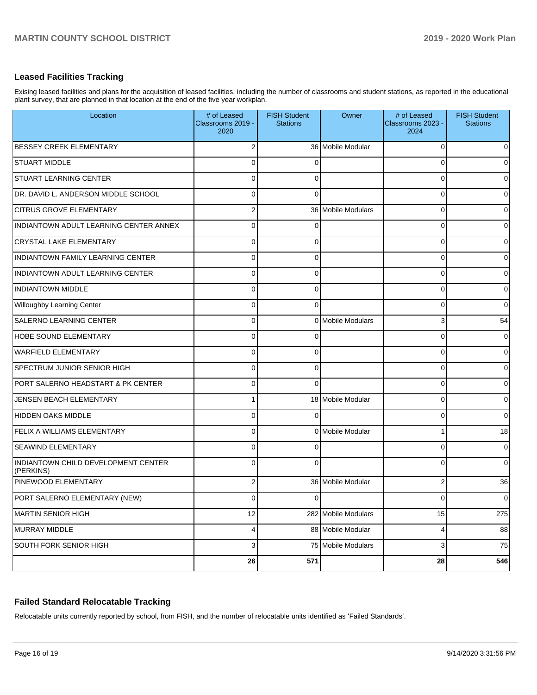### **Leased Facilities Tracking**

Exising leased facilities and plans for the acquisition of leased facilities, including the number of classrooms and student stations, as reported in the educational plant survey, that are planned in that location at the end of the five year workplan.

| Location                                         | # of Leased<br>Classrooms 2019 -<br>2020 | <b>FISH Student</b><br><b>Stations</b> | Owner               | # of Leased<br>Classrooms 2023 -<br>2024 | <b>FISH Student</b><br><b>Stations</b> |
|--------------------------------------------------|------------------------------------------|----------------------------------------|---------------------|------------------------------------------|----------------------------------------|
| <b>BESSEY CREEK ELEMENTARY</b>                   | $\overline{2}$                           |                                        | 36 Mobile Modular   | 0                                        | $\Omega$                               |
| <b>STUART MIDDLE</b>                             | 0                                        | ſ                                      |                     | O                                        | $\overline{0}$                         |
| <b>STUART LEARNING CENTER</b>                    | 0                                        | ∩                                      |                     | 0                                        | $\overline{0}$                         |
| DR. DAVID L. ANDERSON MIDDLE SCHOOL              | $\Omega$                                 | $\Omega$                               |                     | 0                                        | $\overline{0}$                         |
| <b>CITRUS GROVE ELEMENTARY</b>                   | $\overline{2}$                           |                                        | 36 Mobile Modulars  | $\Omega$                                 | $\overline{0}$                         |
| INDIANTOWN ADULT LEARNING CENTER ANNEX           | 0                                        | ſ                                      |                     | 0                                        | $\overline{0}$                         |
| <b>CRYSTAL LAKE ELEMENTARY</b>                   | $\Omega$                                 | $\Omega$                               |                     | 0                                        | $\overline{0}$                         |
| INDIANTOWN FAMILY LEARNING CENTER                | $\Omega$                                 | $\Omega$                               |                     | 0                                        | $\overline{0}$                         |
| INDIANTOWN ADULT LEARNING CENTER                 | $\Omega$                                 | $\Omega$                               |                     | 0                                        | $\overline{0}$                         |
| <b>INDIANTOWN MIDDLE</b>                         | $\Omega$                                 | $\Omega$                               |                     | 0                                        | $\overline{0}$                         |
| Willoughby Learning Center                       | 0                                        | $\Omega$                               |                     | 0                                        | $\overline{0}$                         |
| SALERNO LEARNING CENTER                          | $\Omega$                                 |                                        | 0 Mobile Modulars   | 3                                        | 54                                     |
| <b>HOBE SOUND ELEMENTARY</b>                     | 0                                        |                                        |                     | 0                                        | $\overline{0}$                         |
| <b>WARFIELD ELEMENTARY</b>                       | 0                                        | 0                                      |                     | 0                                        | $\overline{0}$                         |
| <b>SPECTRUM JUNIOR SENIOR HIGH</b>               | 0                                        | $\Omega$                               |                     | 0                                        | $\overline{0}$                         |
| <b>PORT SALERNO HEADSTART &amp; PK CENTER</b>    | $\Omega$                                 | $\Omega$                               |                     | 0                                        | $\overline{0}$                         |
| JENSEN BEACH ELEMENTARY                          | 1                                        |                                        | 18 Mobile Modular   | 0                                        | $\overline{0}$                         |
| HIDDEN OAKS MIDDLE                               | 0                                        | ∩                                      |                     | $\Omega$                                 | $\overline{0}$                         |
| <b>FELIX A WILLIAMS ELEMENTARY</b>               | $\Omega$                                 |                                        | 0 Mobile Modular    |                                          | 18                                     |
| <b>SEAWIND ELEMENTARY</b>                        | 0                                        | ſ                                      |                     | 0                                        | $\overline{0}$                         |
| INDIANTOWN CHILD DEVELOPMENT CENTER<br>(PERKINS) | $\Omega$                                 | ſ                                      |                     | 0                                        | $\overline{0}$                         |
| <b>PINEWOOD ELEMENTARY</b>                       | $\overline{2}$                           |                                        | 36 Mobile Modular   | $\overline{2}$                           | 36                                     |
| PORT SALERNO ELEMENTARY (NEW)                    | $\overline{0}$                           | 0                                      |                     | 0                                        | $\overline{0}$                         |
| MARTIN SENIOR HIGH                               | 12                                       |                                        | 282 Mobile Modulars | 15                                       | 275                                    |
| MURRAY MIDDLE                                    | 4                                        |                                        | 88 Mobile Modular   | 4                                        | 88                                     |
| SOUTH FORK SENIOR HIGH                           | 3                                        |                                        | 75 Mobile Modulars  | 3                                        | 75                                     |
|                                                  | 26                                       | 571                                    |                     | 28                                       | 546                                    |

## **Failed Standard Relocatable Tracking**

Relocatable units currently reported by school, from FISH, and the number of relocatable units identified as 'Failed Standards'.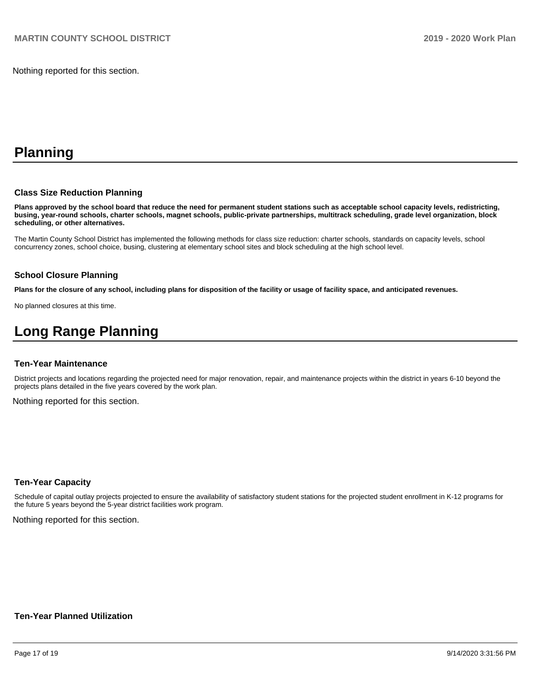Nothing reported for this section.

# **Planning**

#### **Class Size Reduction Planning**

**Plans approved by the school board that reduce the need for permanent student stations such as acceptable school capacity levels, redistricting, busing, year-round schools, charter schools, magnet schools, public-private partnerships, multitrack scheduling, grade level organization, block scheduling, or other alternatives.**

The Martin County School District has implemented the following methods for class size reduction: charter schools, standards on capacity levels, school concurrency zones, school choice, busing, clustering at elementary school sites and block scheduling at the high school level.

#### **School Closure Planning**

**Plans for the closure of any school, including plans for disposition of the facility or usage of facility space, and anticipated revenues.** 

No planned closures at this time.

# **Long Range Planning**

#### **Ten-Year Maintenance**

District projects and locations regarding the projected need for major renovation, repair, and maintenance projects within the district in years 6-10 beyond the projects plans detailed in the five years covered by the work plan.

Nothing reported for this section.

#### **Ten-Year Capacity**

Schedule of capital outlay projects projected to ensure the availability of satisfactory student stations for the projected student enrollment in K-12 programs for the future 5 years beyond the 5-year district facilities work program.

Nothing reported for this section.

#### **Ten-Year Planned Utilization**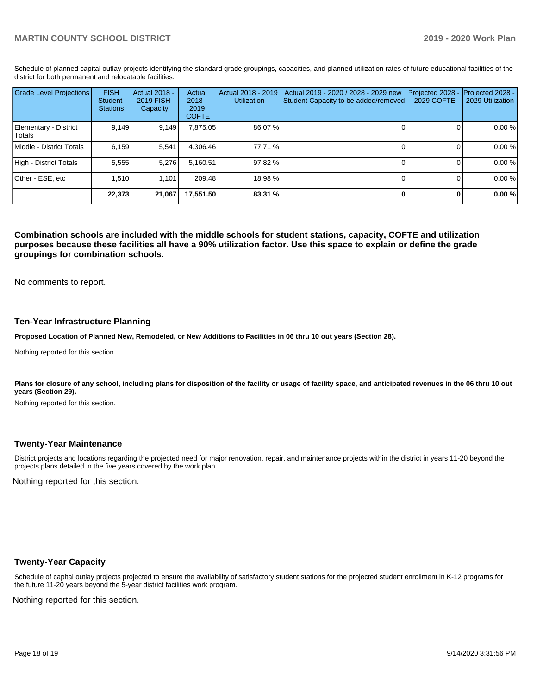Schedule of planned capital outlay projects identifying the standard grade groupings, capacities, and planned utilization rates of future educational facilities of the district for both permanent and relocatable facilities.

| <b>Grade Level Projections</b>   | <b>FISH</b><br>Student<br><b>Stations</b> | <b>Actual 2018 -</b><br>2019 FISH<br>Capacity | Actual<br>$2018 -$<br>2019<br><b>COFTE</b> | Actual 2018 - 2019<br><b>Utilization</b> | Actual 2019 - 2020 / 2028 - 2029 new<br>Student Capacity to be added/removed | Projected 2028<br>2029 COFTE | Projected 2028 -<br>2029 Utilization |
|----------------------------------|-------------------------------------------|-----------------------------------------------|--------------------------------------------|------------------------------------------|------------------------------------------------------------------------------|------------------------------|--------------------------------------|
| Elementary - District<br> Totals | 9,149                                     | 9,149                                         | 7,875.05                                   | 86.07 %                                  |                                                                              |                              | 0.00 %                               |
| Middle - District Totals         | 6.159                                     | 5.541                                         | 4.306.46                                   | 77.71 %                                  |                                                                              |                              | 0.00 %                               |
| High - District Totals           | 5.555                                     | 5.276                                         | 5.160.51                                   | 97.82 %                                  |                                                                              |                              | 0.00 %                               |
| Other - ESE, etc                 | 1.510                                     | 1.101                                         | 209.48                                     | 18.98%                                   |                                                                              |                              | 0.00 %                               |
|                                  | 22,373                                    | 21,067                                        | 17.551.50                                  | 83.31 %                                  |                                                                              |                              | 0.00%                                |

**Combination schools are included with the middle schools for student stations, capacity, COFTE and utilization purposes because these facilities all have a 90% utilization factor. Use this space to explain or define the grade groupings for combination schools.** 

No comments to report.

#### **Ten-Year Infrastructure Planning**

**Proposed Location of Planned New, Remodeled, or New Additions to Facilities in 06 thru 10 out years (Section 28).**

Nothing reported for this section.

Plans for closure of any school, including plans for disposition of the facility or usage of facility space, and anticipated revenues in the 06 thru 10 out **years (Section 29).**

Nothing reported for this section.

#### **Twenty-Year Maintenance**

District projects and locations regarding the projected need for major renovation, repair, and maintenance projects within the district in years 11-20 beyond the projects plans detailed in the five years covered by the work plan.

Nothing reported for this section.

#### **Twenty-Year Capacity**

Schedule of capital outlay projects projected to ensure the availability of satisfactory student stations for the projected student enrollment in K-12 programs for the future 11-20 years beyond the 5-year district facilities work program.

Nothing reported for this section.